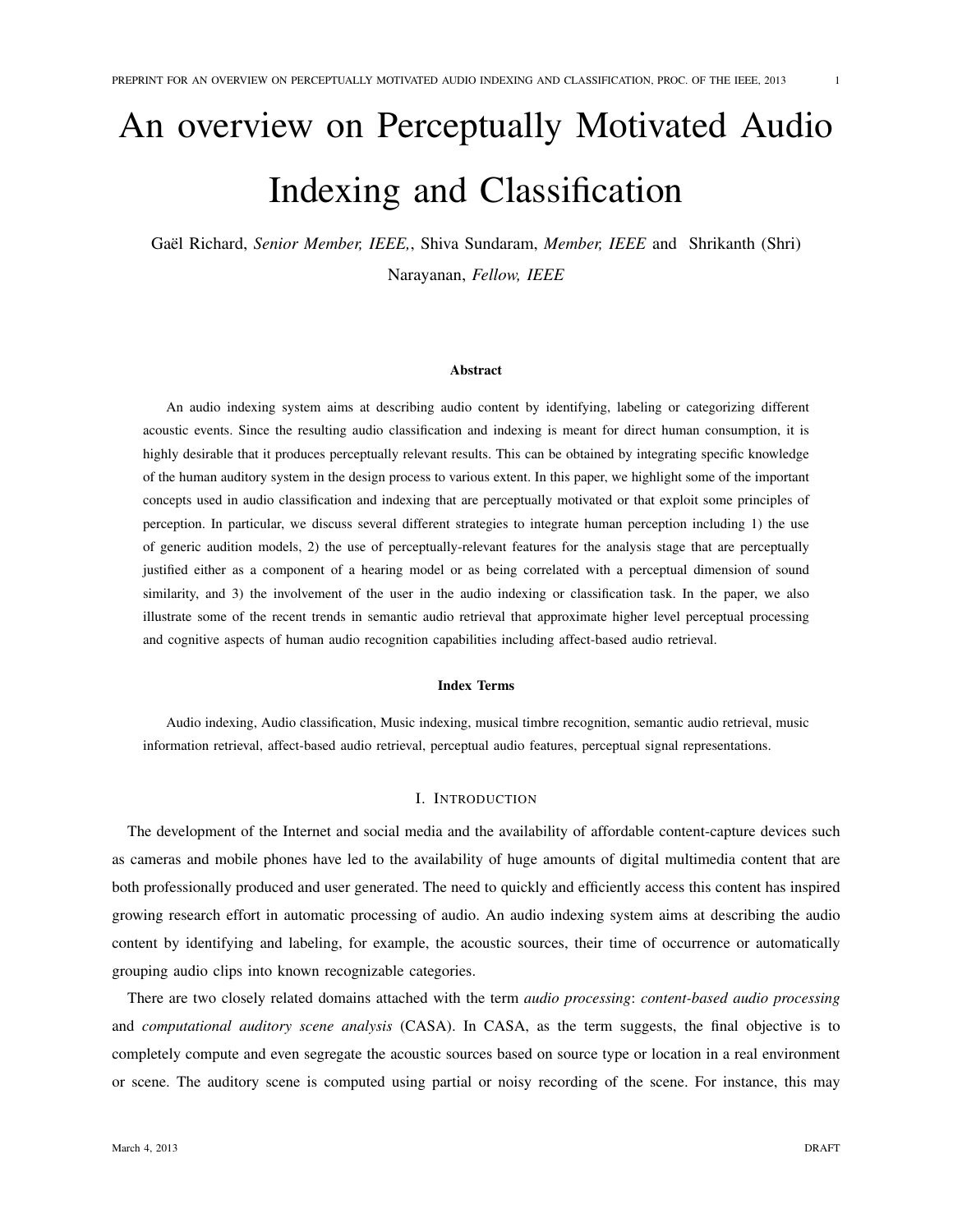# An overview on Perceptually Motivated Audio Indexing and Classification

Gaël Richard, Senior Member, IEEE,, Shiva Sundaram, Member, IEEE and Shrikanth (Shri) Narayanan, *Fellow, IEEE*

## Abstract

An audio indexing system aims at describing audio content by identifying, labeling or categorizing different acoustic events. Since the resulting audio classification and indexing is meant for direct human consumption, it is highly desirable that it produces perceptually relevant results. This can be obtained by integrating specific knowledge of the human auditory system in the design process to various extent. In this paper, we highlight some of the important concepts used in audio classification and indexing that are perceptually motivated or that exploit some principles of perception. In particular, we discuss several different strategies to integrate human perception including 1) the use of generic audition models, 2) the use of perceptually-relevant features for the analysis stage that are perceptually justified either as a component of a hearing model or as being correlated with a perceptual dimension of sound similarity, and 3) the involvement of the user in the audio indexing or classification task. In the paper, we also illustrate some of the recent trends in semantic audio retrieval that approximate higher level perceptual processing and cognitive aspects of human audio recognition capabilities including affect-based audio retrieval.

#### Index Terms

Audio indexing, Audio classification, Music indexing, musical timbre recognition, semantic audio retrieval, music information retrieval, affect-based audio retrieval, perceptual audio features, perceptual signal representations.

# I. INTRODUCTION

The development of the Internet and social media and the availability of affordable content-capture devices such as cameras and mobile phones have led to the availability of huge amounts of digital multimedia content that are both professionally produced and user generated. The need to quickly and efficiently access this content has inspired growing research effort in automatic processing of audio. An audio indexing system aims at describing the audio content by identifying and labeling, for example, the acoustic sources, their time of occurrence or automatically grouping audio clips into known recognizable categories.

There are two closely related domains attached with the term *audio processing*: *content-based audio processing* and *computational auditory scene analysis* (CASA). In CASA, as the term suggests, the final objective is to completely compute and even segregate the acoustic sources based on source type or location in a real environment or scene. The auditory scene is computed using partial or noisy recording of the scene. For instance, this may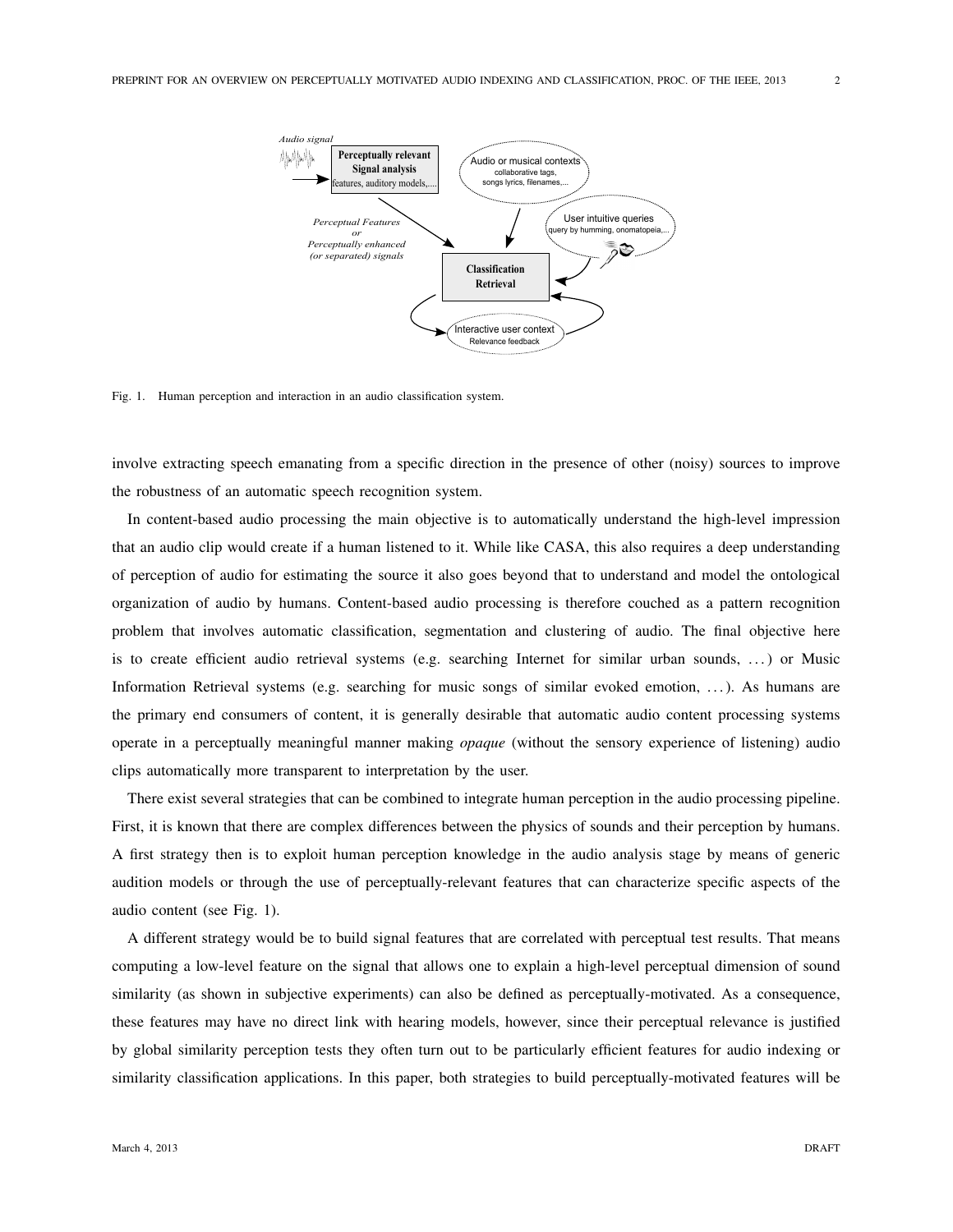

Fig. 1. Human perception and interaction in an audio classification system.

involve extracting speech emanating from a specific direction in the presence of other (noisy) sources to improve the robustness of an automatic speech recognition system.

In content-based audio processing the main objective is to automatically understand the high-level impression that an audio clip would create if a human listened to it. While like CASA, this also requires a deep understanding of perception of audio for estimating the source it also goes beyond that to understand and model the ontological organization of audio by humans. Content-based audio processing is therefore couched as a pattern recognition problem that involves automatic classification, segmentation and clustering of audio. The final objective here is to create efficient audio retrieval systems (e.g. searching Internet for similar urban sounds, ...) or Music Information Retrieval systems (e.g. searching for music songs of similar evoked emotion, . . . ). As humans are the primary end consumers of content, it is generally desirable that automatic audio content processing systems operate in a perceptually meaningful manner making *opaque* (without the sensory experience of listening) audio clips automatically more transparent to interpretation by the user.

There exist several strategies that can be combined to integrate human perception in the audio processing pipeline. First, it is known that there are complex differences between the physics of sounds and their perception by humans. A first strategy then is to exploit human perception knowledge in the audio analysis stage by means of generic audition models or through the use of perceptually-relevant features that can characterize specific aspects of the audio content (see Fig. 1).

A different strategy would be to build signal features that are correlated with perceptual test results. That means computing a low-level feature on the signal that allows one to explain a high-level perceptual dimension of sound similarity (as shown in subjective experiments) can also be defined as perceptually-motivated. As a consequence, these features may have no direct link with hearing models, however, since their perceptual relevance is justified by global similarity perception tests they often turn out to be particularly efficient features for audio indexing or similarity classification applications. In this paper, both strategies to build perceptually-motivated features will be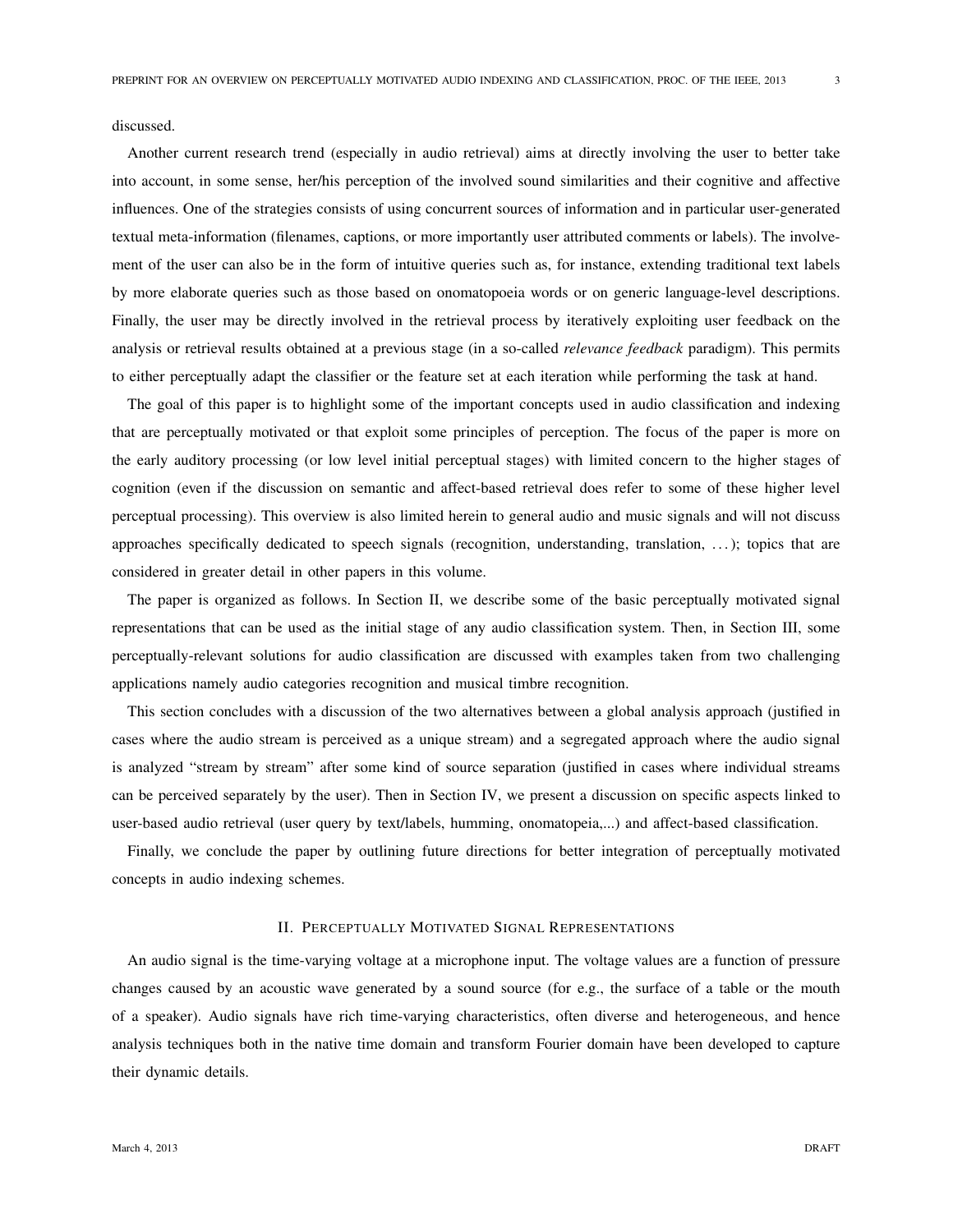discussed.

Another current research trend (especially in audio retrieval) aims at directly involving the user to better take into account, in some sense, her/his perception of the involved sound similarities and their cognitive and affective influences. One of the strategies consists of using concurrent sources of information and in particular user-generated textual meta-information (filenames, captions, or more importantly user attributed comments or labels). The involvement of the user can also be in the form of intuitive queries such as, for instance, extending traditional text labels by more elaborate queries such as those based on onomatopoeia words or on generic language-level descriptions. Finally, the user may be directly involved in the retrieval process by iteratively exploiting user feedback on the analysis or retrieval results obtained at a previous stage (in a so-called *relevance feedback* paradigm). This permits to either perceptually adapt the classifier or the feature set at each iteration while performing the task at hand.

The goal of this paper is to highlight some of the important concepts used in audio classification and indexing that are perceptually motivated or that exploit some principles of perception. The focus of the paper is more on the early auditory processing (or low level initial perceptual stages) with limited concern to the higher stages of cognition (even if the discussion on semantic and affect-based retrieval does refer to some of these higher level perceptual processing). This overview is also limited herein to general audio and music signals and will not discuss approaches specifically dedicated to speech signals (recognition, understanding, translation, . . . ); topics that are considered in greater detail in other papers in this volume.

The paper is organized as follows. In Section II, we describe some of the basic perceptually motivated signal representations that can be used as the initial stage of any audio classification system. Then, in Section III, some perceptually-relevant solutions for audio classification are discussed with examples taken from two challenging applications namely audio categories recognition and musical timbre recognition.

This section concludes with a discussion of the two alternatives between a global analysis approach (justified in cases where the audio stream is perceived as a unique stream) and a segregated approach where the audio signal is analyzed "stream by stream" after some kind of source separation (justified in cases where individual streams can be perceived separately by the user). Then in Section IV, we present a discussion on specific aspects linked to user-based audio retrieval (user query by text/labels, humming, onomatopeia,...) and affect-based classification.

Finally, we conclude the paper by outlining future directions for better integration of perceptually motivated concepts in audio indexing schemes.

#### II. PERCEPTUALLY MOTIVATED SIGNAL REPRESENTATIONS

An audio signal is the time-varying voltage at a microphone input. The voltage values are a function of pressure changes caused by an acoustic wave generated by a sound source (for e.g., the surface of a table or the mouth of a speaker). Audio signals have rich time-varying characteristics, often diverse and heterogeneous, and hence analysis techniques both in the native time domain and transform Fourier domain have been developed to capture their dynamic details.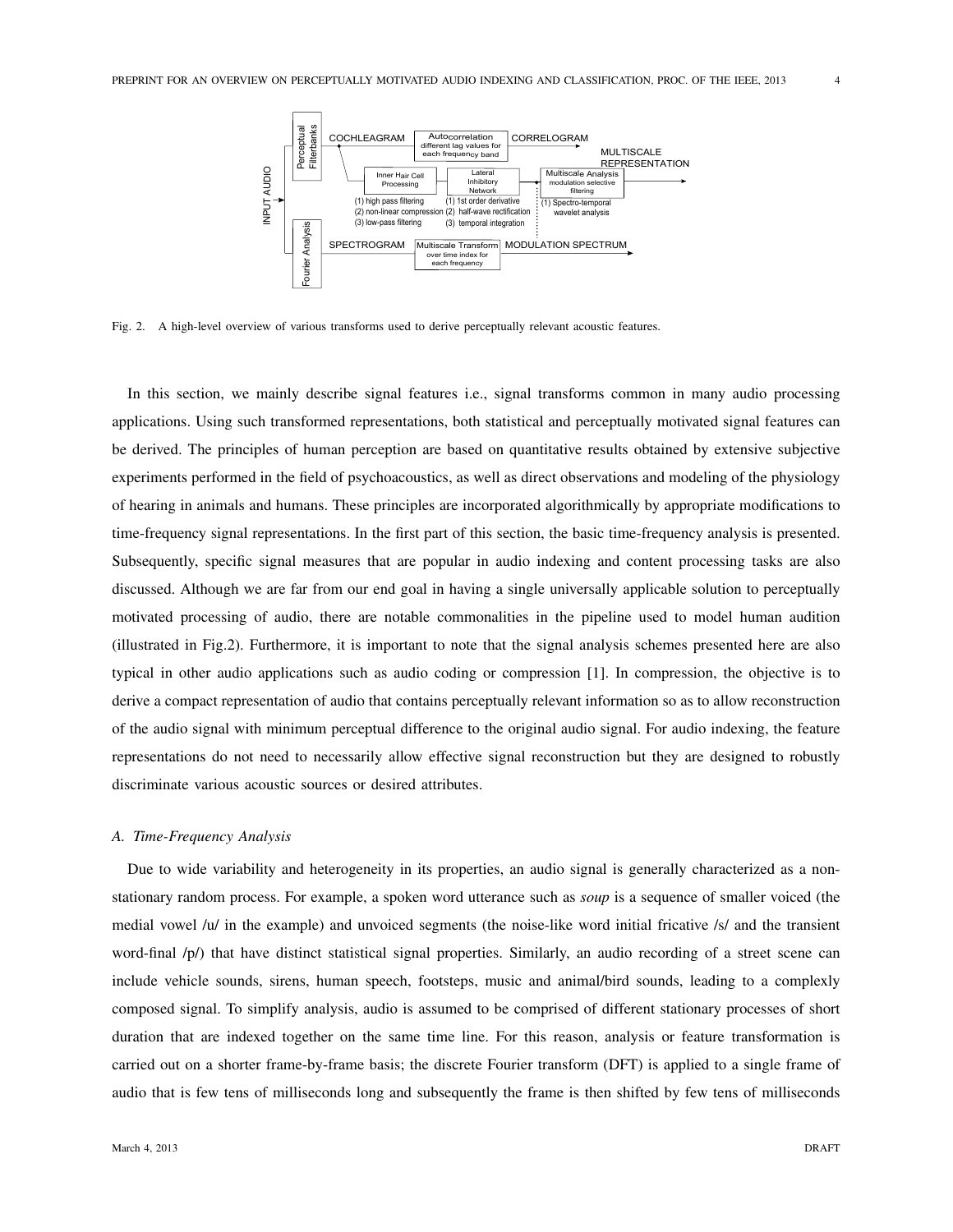

Fig. 2. A high-level overview of various transforms used to derive perceptually relevant acoustic features.

In this section, we mainly describe signal features i.e., signal transforms common in many audio processing applications. Using such transformed representations, both statistical and perceptually motivated signal features can be derived. The principles of human perception are based on quantitative results obtained by extensive subjective experiments performed in the field of psychoacoustics, as well as direct observations and modeling of the physiology of hearing in animals and humans. These principles are incorporated algorithmically by appropriate modifications to time-frequency signal representations. In the first part of this section, the basic time-frequency analysis is presented. Subsequently, specific signal measures that are popular in audio indexing and content processing tasks are also discussed. Although we are far from our end goal in having a single universally applicable solution to perceptually motivated processing of audio, there are notable commonalities in the pipeline used to model human audition (illustrated in Fig.2). Furthermore, it is important to note that the signal analysis schemes presented here are also typical in other audio applications such as audio coding or compression [1]. In compression, the objective is to derive a compact representation of audio that contains perceptually relevant information so as to allow reconstruction of the audio signal with minimum perceptual difference to the original audio signal. For audio indexing, the feature representations do not need to necessarily allow effective signal reconstruction but they are designed to robustly discriminate various acoustic sources or desired attributes.

# *A. Time-Frequency Analysis*

Due to wide variability and heterogeneity in its properties, an audio signal is generally characterized as a nonstationary random process. For example, a spoken word utterance such as *soup* is a sequence of smaller voiced (the medial vowel /u/ in the example) and unvoiced segments (the noise-like word initial fricative /s/ and the transient word-final /p/) that have distinct statistical signal properties. Similarly, an audio recording of a street scene can include vehicle sounds, sirens, human speech, footsteps, music and animal/bird sounds, leading to a complexly composed signal. To simplify analysis, audio is assumed to be comprised of different stationary processes of short duration that are indexed together on the same time line. For this reason, analysis or feature transformation is carried out on a shorter frame-by-frame basis; the discrete Fourier transform (DFT) is applied to a single frame of audio that is few tens of milliseconds long and subsequently the frame is then shifted by few tens of milliseconds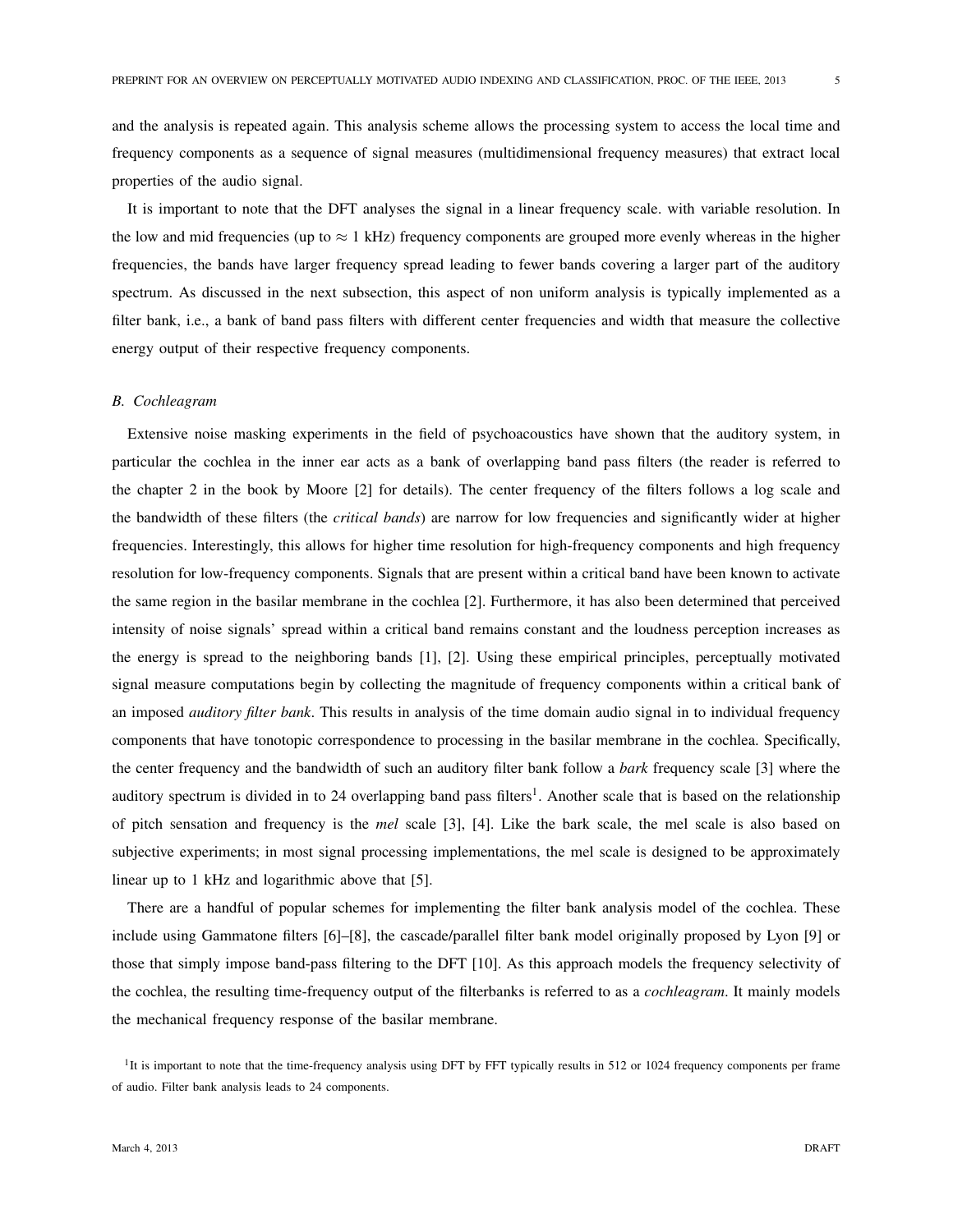and the analysis is repeated again. This analysis scheme allows the processing system to access the local time and frequency components as a sequence of signal measures (multidimensional frequency measures) that extract local properties of the audio signal.

It is important to note that the DFT analyses the signal in a linear frequency scale. with variable resolution. In the low and mid frequencies (up to  $\approx 1$  kHz) frequency components are grouped more evenly whereas in the higher frequencies, the bands have larger frequency spread leading to fewer bands covering a larger part of the auditory spectrum. As discussed in the next subsection, this aspect of non uniform analysis is typically implemented as a filter bank, i.e., a bank of band pass filters with different center frequencies and width that measure the collective energy output of their respective frequency components.

#### *B. Cochleagram*

Extensive noise masking experiments in the field of psychoacoustics have shown that the auditory system, in particular the cochlea in the inner ear acts as a bank of overlapping band pass filters (the reader is referred to the chapter 2 in the book by Moore [2] for details). The center frequency of the filters follows a log scale and the bandwidth of these filters (the *critical bands*) are narrow for low frequencies and significantly wider at higher frequencies. Interestingly, this allows for higher time resolution for high-frequency components and high frequency resolution for low-frequency components. Signals that are present within a critical band have been known to activate the same region in the basilar membrane in the cochlea [2]. Furthermore, it has also been determined that perceived intensity of noise signals' spread within a critical band remains constant and the loudness perception increases as the energy is spread to the neighboring bands [1], [2]. Using these empirical principles, perceptually motivated signal measure computations begin by collecting the magnitude of frequency components within a critical bank of an imposed *auditory filter bank*. This results in analysis of the time domain audio signal in to individual frequency components that have tonotopic correspondence to processing in the basilar membrane in the cochlea. Specifically, the center frequency and the bandwidth of such an auditory filter bank follow a *bark* frequency scale [3] where the auditory spectrum is divided in to 24 overlapping band pass filters<sup>1</sup>. Another scale that is based on the relationship of pitch sensation and frequency is the *mel* scale [3], [4]. Like the bark scale, the mel scale is also based on subjective experiments; in most signal processing implementations, the mel scale is designed to be approximately linear up to 1 kHz and logarithmic above that [5].

There are a handful of popular schemes for implementing the filter bank analysis model of the cochlea. These include using Gammatone filters [6]–[8], the cascade/parallel filter bank model originally proposed by Lyon [9] or those that simply impose band-pass filtering to the DFT [10]. As this approach models the frequency selectivity of the cochlea, the resulting time-frequency output of the filterbanks is referred to as a *cochleagram*. It mainly models the mechanical frequency response of the basilar membrane.

<sup>1</sup>It is important to note that the time-frequency analysis using DFT by FFT typically results in 512 or 1024 frequency components per frame of audio. Filter bank analysis leads to 24 components.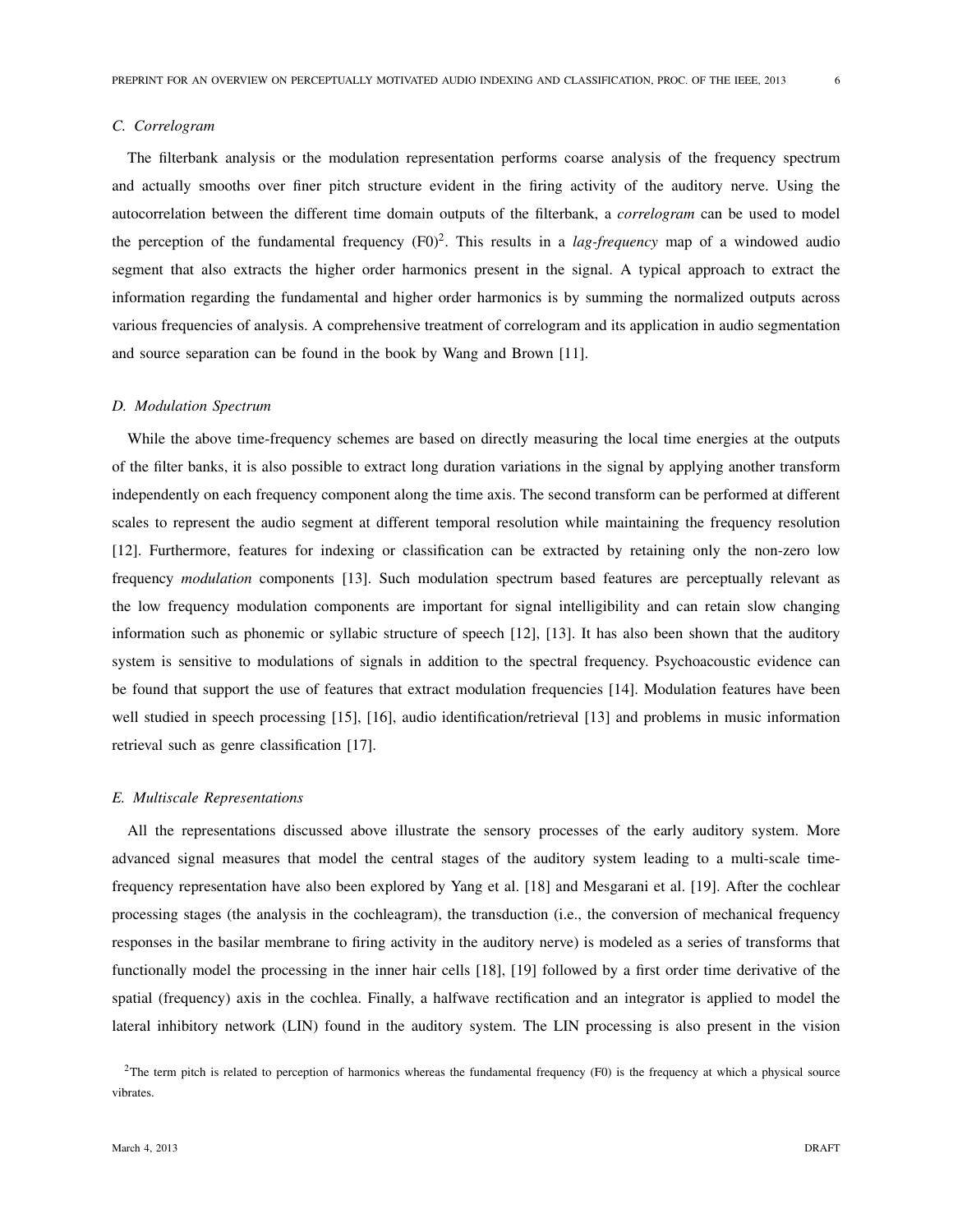# *C. Correlogram*

The filterbank analysis or the modulation representation performs coarse analysis of the frequency spectrum and actually smooths over finer pitch structure evident in the firing activity of the auditory nerve. Using the autocorrelation between the different time domain outputs of the filterbank, a *correlogram* can be used to model the perception of the fundamental frequency  $(F0)^2$ . This results in a *lag-frequency* map of a windowed audio segment that also extracts the higher order harmonics present in the signal. A typical approach to extract the information regarding the fundamental and higher order harmonics is by summing the normalized outputs across various frequencies of analysis. A comprehensive treatment of correlogram and its application in audio segmentation and source separation can be found in the book by Wang and Brown [11].

#### *D. Modulation Spectrum*

While the above time-frequency schemes are based on directly measuring the local time energies at the outputs of the filter banks, it is also possible to extract long duration variations in the signal by applying another transform independently on each frequency component along the time axis. The second transform can be performed at different scales to represent the audio segment at different temporal resolution while maintaining the frequency resolution [12]. Furthermore, features for indexing or classification can be extracted by retaining only the non-zero low frequency *modulation* components [13]. Such modulation spectrum based features are perceptually relevant as the low frequency modulation components are important for signal intelligibility and can retain slow changing information such as phonemic or syllabic structure of speech [12], [13]. It has also been shown that the auditory system is sensitive to modulations of signals in addition to the spectral frequency. Psychoacoustic evidence can be found that support the use of features that extract modulation frequencies [14]. Modulation features have been well studied in speech processing [15], [16], audio identification/retrieval [13] and problems in music information retrieval such as genre classification [17].

# *E. Multiscale Representations*

All the representations discussed above illustrate the sensory processes of the early auditory system. More advanced signal measures that model the central stages of the auditory system leading to a multi-scale timefrequency representation have also been explored by Yang et al. [18] and Mesgarani et al. [19]. After the cochlear processing stages (the analysis in the cochleagram), the transduction (i.e., the conversion of mechanical frequency responses in the basilar membrane to firing activity in the auditory nerve) is modeled as a series of transforms that functionally model the processing in the inner hair cells [18], [19] followed by a first order time derivative of the spatial (frequency) axis in the cochlea. Finally, a halfwave rectification and an integrator is applied to model the lateral inhibitory network (LIN) found in the auditory system. The LIN processing is also present in the vision

<sup>2</sup>The term pitch is related to perception of harmonics whereas the fundamental frequency (F0) is the frequency at which a physical source vibrates.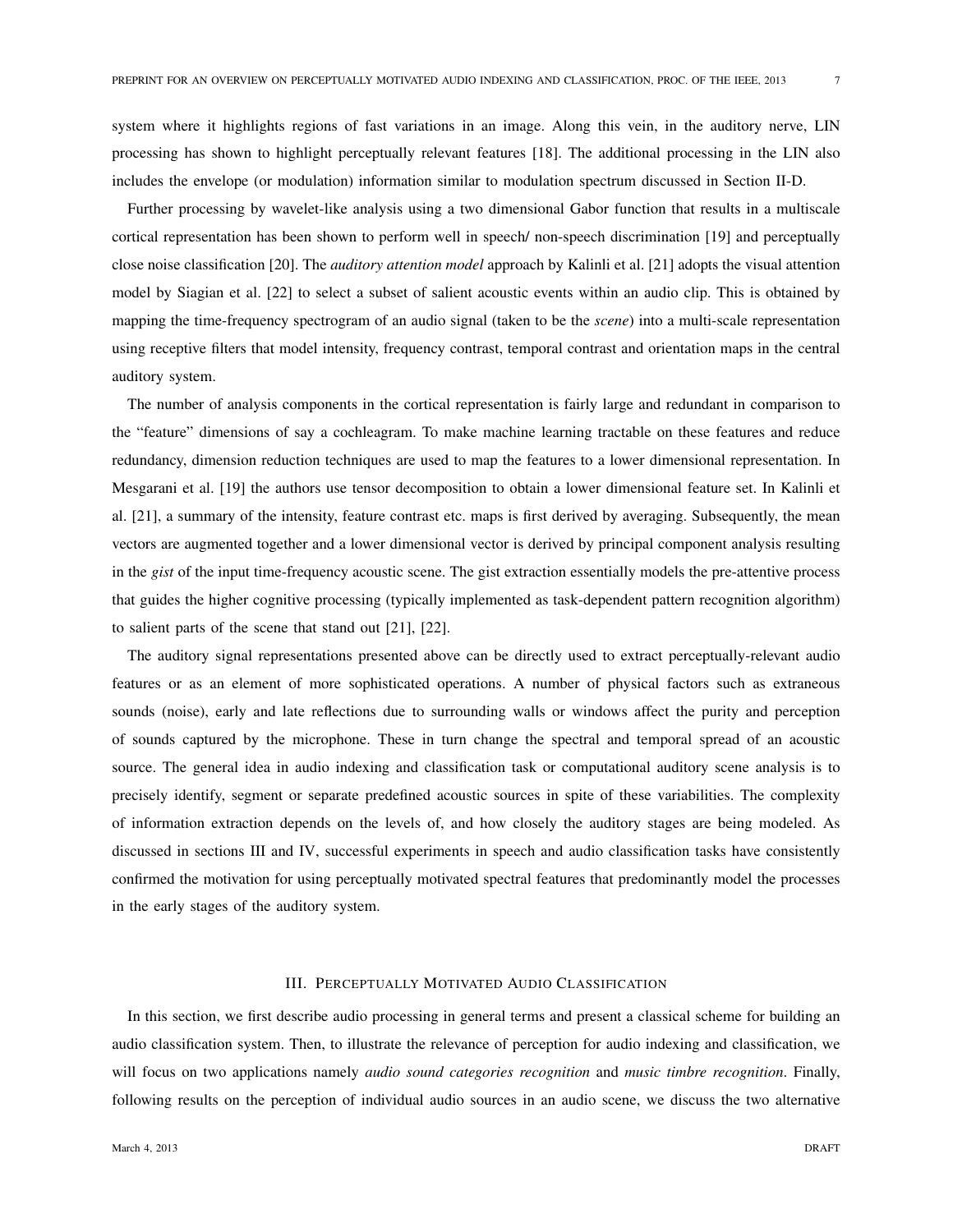system where it highlights regions of fast variations in an image. Along this vein, in the auditory nerve, LIN processing has shown to highlight perceptually relevant features [18]. The additional processing in the LIN also includes the envelope (or modulation) information similar to modulation spectrum discussed in Section II-D.

Further processing by wavelet-like analysis using a two dimensional Gabor function that results in a multiscale cortical representation has been shown to perform well in speech/ non-speech discrimination [19] and perceptually close noise classification [20]. The *auditory attention model* approach by Kalinli et al. [21] adopts the visual attention model by Siagian et al. [22] to select a subset of salient acoustic events within an audio clip. This is obtained by mapping the time-frequency spectrogram of an audio signal (taken to be the *scene*) into a multi-scale representation using receptive filters that model intensity, frequency contrast, temporal contrast and orientation maps in the central auditory system.

The number of analysis components in the cortical representation is fairly large and redundant in comparison to the "feature" dimensions of say a cochleagram. To make machine learning tractable on these features and reduce redundancy, dimension reduction techniques are used to map the features to a lower dimensional representation. In Mesgarani et al. [19] the authors use tensor decomposition to obtain a lower dimensional feature set. In Kalinli et al. [21], a summary of the intensity, feature contrast etc. maps is first derived by averaging. Subsequently, the mean vectors are augmented together and a lower dimensional vector is derived by principal component analysis resulting in the *gist* of the input time-frequency acoustic scene. The gist extraction essentially models the pre-attentive process that guides the higher cognitive processing (typically implemented as task-dependent pattern recognition algorithm) to salient parts of the scene that stand out [21], [22].

The auditory signal representations presented above can be directly used to extract perceptually-relevant audio features or as an element of more sophisticated operations. A number of physical factors such as extraneous sounds (noise), early and late reflections due to surrounding walls or windows affect the purity and perception of sounds captured by the microphone. These in turn change the spectral and temporal spread of an acoustic source. The general idea in audio indexing and classification task or computational auditory scene analysis is to precisely identify, segment or separate predefined acoustic sources in spite of these variabilities. The complexity of information extraction depends on the levels of, and how closely the auditory stages are being modeled. As discussed in sections III and IV, successful experiments in speech and audio classification tasks have consistently confirmed the motivation for using perceptually motivated spectral features that predominantly model the processes in the early stages of the auditory system.

## III. PERCEPTUALLY MOTIVATED AUDIO CLASSIFICATION

In this section, we first describe audio processing in general terms and present a classical scheme for building an audio classification system. Then, to illustrate the relevance of perception for audio indexing and classification, we will focus on two applications namely *audio sound categories recognition* and *music timbre recognition*. Finally, following results on the perception of individual audio sources in an audio scene, we discuss the two alternative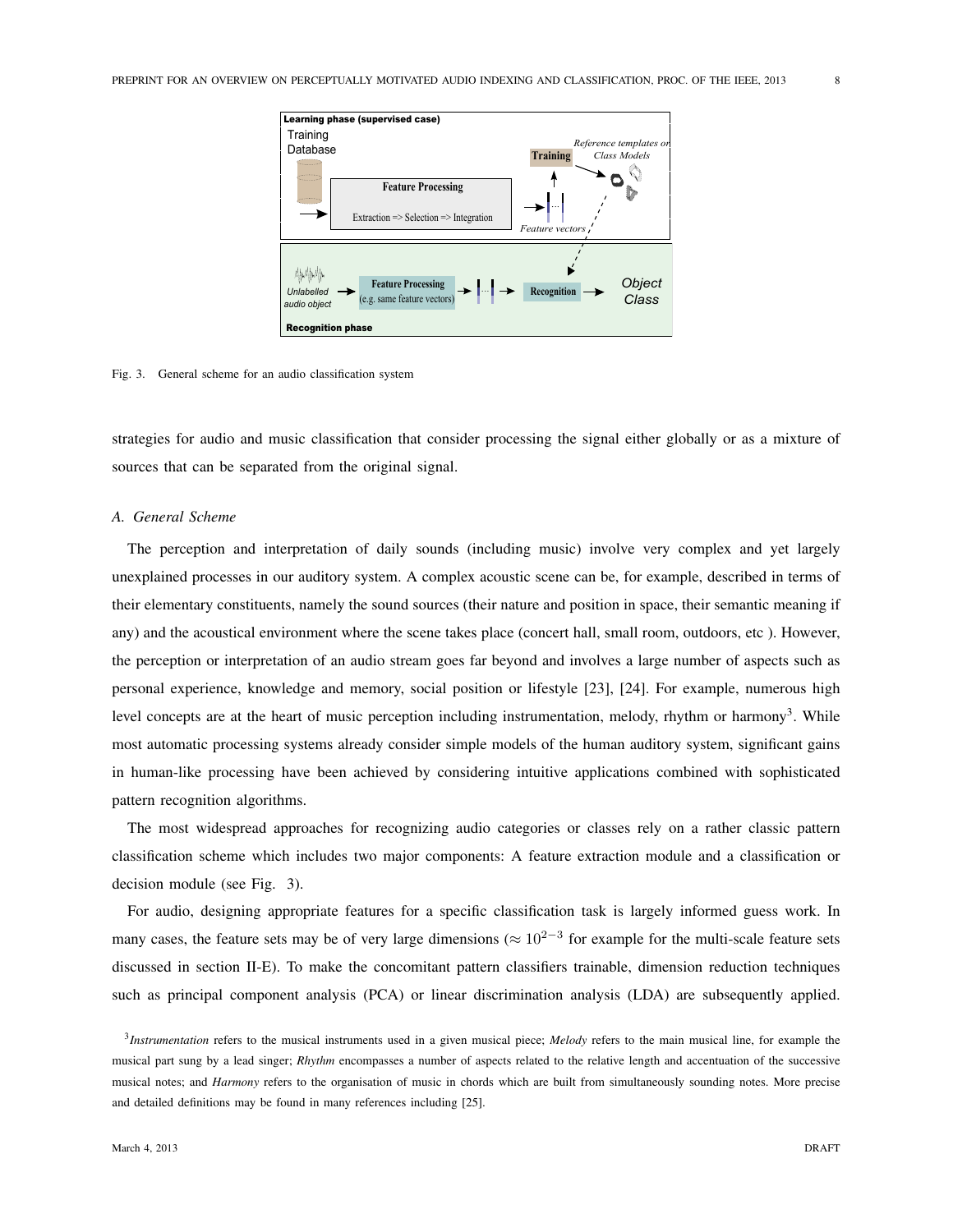

Fig. 3. General scheme for an audio classification system

strategies for audio and music classification that consider processing the signal either globally or as a mixture of sources that can be separated from the original signal.

# *A. General Scheme*

The perception and interpretation of daily sounds (including music) involve very complex and yet largely unexplained processes in our auditory system. A complex acoustic scene can be, for example, described in terms of their elementary constituents, namely the sound sources (their nature and position in space, their semantic meaning if any) and the acoustical environment where the scene takes place (concert hall, small room, outdoors, etc ). However, the perception or interpretation of an audio stream goes far beyond and involves a large number of aspects such as personal experience, knowledge and memory, social position or lifestyle [23], [24]. For example, numerous high level concepts are at the heart of music perception including instrumentation, melody, rhythm or harmony<sup>3</sup>. While most automatic processing systems already consider simple models of the human auditory system, significant gains in human-like processing have been achieved by considering intuitive applications combined with sophisticated pattern recognition algorithms.

The most widespread approaches for recognizing audio categories or classes rely on a rather classic pattern classification scheme which includes two major components: A feature extraction module and a classification or decision module (see Fig. 3).

For audio, designing appropriate features for a specific classification task is largely informed guess work. In many cases, the feature sets may be of very large dimensions ( $\approx 10^{2-3}$  for example for the multi-scale feature sets discussed in section II-E). To make the concomitant pattern classifiers trainable, dimension reduction techniques such as principal component analysis (PCA) or linear discrimination analysis (LDA) are subsequently applied.

<sup>3</sup> *Instrumentation* refers to the musical instruments used in a given musical piece; *Melody* refers to the main musical line, for example the musical part sung by a lead singer; *Rhythm* encompasses a number of aspects related to the relative length and accentuation of the successive musical notes; and *Harmony* refers to the organisation of music in chords which are built from simultaneously sounding notes. More precise and detailed definitions may be found in many references including [25].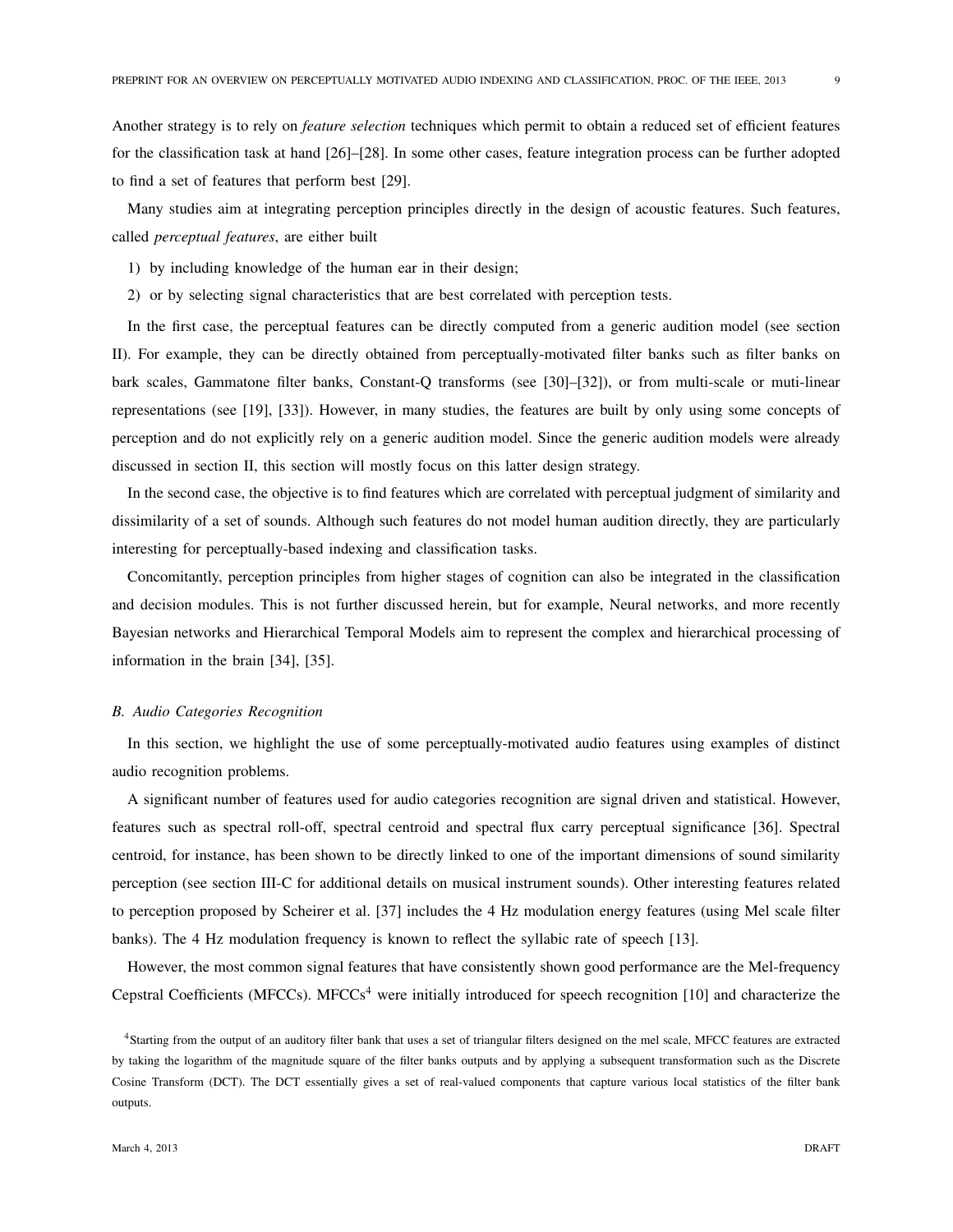Another strategy is to rely on *feature selection* techniques which permit to obtain a reduced set of efficient features for the classification task at hand [26]–[28]. In some other cases, feature integration process can be further adopted to find a set of features that perform best [29].

Many studies aim at integrating perception principles directly in the design of acoustic features. Such features, called *perceptual features*, are either built

- 1) by including knowledge of the human ear in their design;
- 2) or by selecting signal characteristics that are best correlated with perception tests.

In the first case, the perceptual features can be directly computed from a generic audition model (see section II). For example, they can be directly obtained from perceptually-motivated filter banks such as filter banks on bark scales, Gammatone filter banks, Constant-Q transforms (see [30]–[32]), or from multi-scale or muti-linear representations (see [19], [33]). However, in many studies, the features are built by only using some concepts of perception and do not explicitly rely on a generic audition model. Since the generic audition models were already discussed in section II, this section will mostly focus on this latter design strategy.

In the second case, the objective is to find features which are correlated with perceptual judgment of similarity and dissimilarity of a set of sounds. Although such features do not model human audition directly, they are particularly interesting for perceptually-based indexing and classification tasks.

Concomitantly, perception principles from higher stages of cognition can also be integrated in the classification and decision modules. This is not further discussed herein, but for example, Neural networks, and more recently Bayesian networks and Hierarchical Temporal Models aim to represent the complex and hierarchical processing of information in the brain [34], [35].

# *B. Audio Categories Recognition*

In this section, we highlight the use of some perceptually-motivated audio features using examples of distinct audio recognition problems.

A significant number of features used for audio categories recognition are signal driven and statistical. However, features such as spectral roll-off, spectral centroid and spectral flux carry perceptual significance [36]. Spectral centroid, for instance, has been shown to be directly linked to one of the important dimensions of sound similarity perception (see section III-C for additional details on musical instrument sounds). Other interesting features related to perception proposed by Scheirer et al. [37] includes the 4 Hz modulation energy features (using Mel scale filter banks). The 4 Hz modulation frequency is known to reflect the syllabic rate of speech [13].

However, the most common signal features that have consistently shown good performance are the Mel-frequency Cepstral Coefficients (MFCCs). MFCCs<sup>4</sup> were initially introduced for speech recognition [10] and characterize the

<sup>4</sup>Starting from the output of an auditory filter bank that uses a set of triangular filters designed on the mel scale, MFCC features are extracted by taking the logarithm of the magnitude square of the filter banks outputs and by applying a subsequent transformation such as the Discrete Cosine Transform (DCT). The DCT essentially gives a set of real-valued components that capture various local statistics of the filter bank outputs.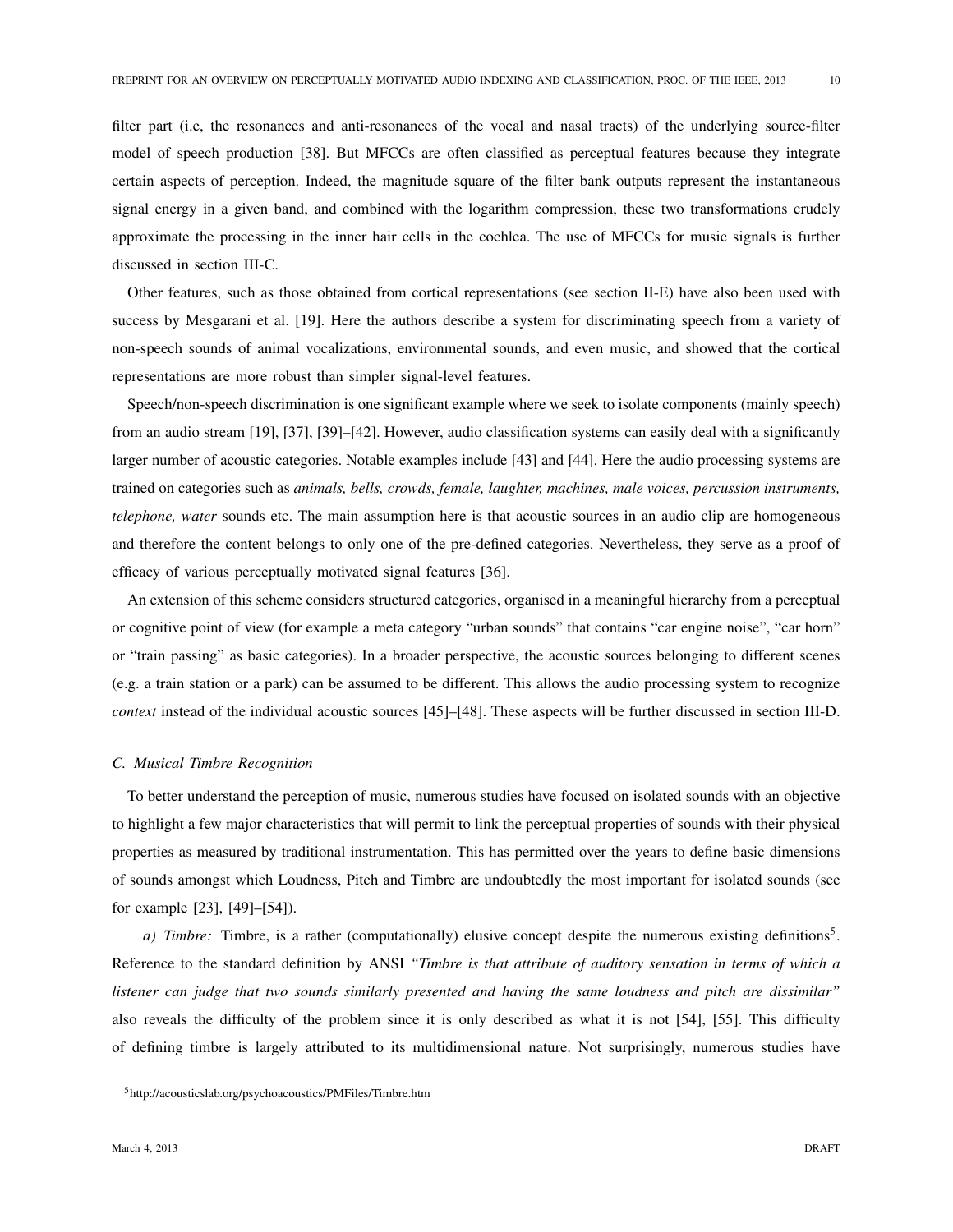filter part (i.e, the resonances and anti-resonances of the vocal and nasal tracts) of the underlying source-filter model of speech production [38]. But MFCCs are often classified as perceptual features because they integrate certain aspects of perception. Indeed, the magnitude square of the filter bank outputs represent the instantaneous signal energy in a given band, and combined with the logarithm compression, these two transformations crudely approximate the processing in the inner hair cells in the cochlea. The use of MFCCs for music signals is further discussed in section III-C.

Other features, such as those obtained from cortical representations (see section II-E) have also been used with success by Mesgarani et al. [19]. Here the authors describe a system for discriminating speech from a variety of non-speech sounds of animal vocalizations, environmental sounds, and even music, and showed that the cortical representations are more robust than simpler signal-level features.

Speech/non-speech discrimination is one significant example where we seek to isolate components (mainly speech) from an audio stream [19], [37], [39]–[42]. However, audio classification systems can easily deal with a significantly larger number of acoustic categories. Notable examples include [43] and [44]. Here the audio processing systems are trained on categories such as *animals, bells, crowds, female, laughter, machines, male voices, percussion instruments, telephone, water* sounds etc. The main assumption here is that acoustic sources in an audio clip are homogeneous and therefore the content belongs to only one of the pre-defined categories. Nevertheless, they serve as a proof of efficacy of various perceptually motivated signal features [36].

An extension of this scheme considers structured categories, organised in a meaningful hierarchy from a perceptual or cognitive point of view (for example a meta category "urban sounds" that contains "car engine noise", "car horn" or "train passing" as basic categories). In a broader perspective, the acoustic sources belonging to different scenes (e.g. a train station or a park) can be assumed to be different. This allows the audio processing system to recognize *context* instead of the individual acoustic sources [45]–[48]. These aspects will be further discussed in section III-D.

### *C. Musical Timbre Recognition*

To better understand the perception of music, numerous studies have focused on isolated sounds with an objective to highlight a few major characteristics that will permit to link the perceptual properties of sounds with their physical properties as measured by traditional instrumentation. This has permitted over the years to define basic dimensions of sounds amongst which Loudness, Pitch and Timbre are undoubtedly the most important for isolated sounds (see for example [23], [49]–[54]).

a) Timbre: Timbre, is a rather (computationally) elusive concept despite the numerous existing definitions<sup>5</sup>. Reference to the standard definition by ANSI *"Timbre is that attribute of auditory sensation in terms of which a listener can judge that two sounds similarly presented and having the same loudness and pitch are dissimilar"* also reveals the difficulty of the problem since it is only described as what it is not [54], [55]. This difficulty of defining timbre is largely attributed to its multidimensional nature. Not surprisingly, numerous studies have

<sup>5</sup>http://acousticslab.org/psychoacoustics/PMFiles/Timbre.htm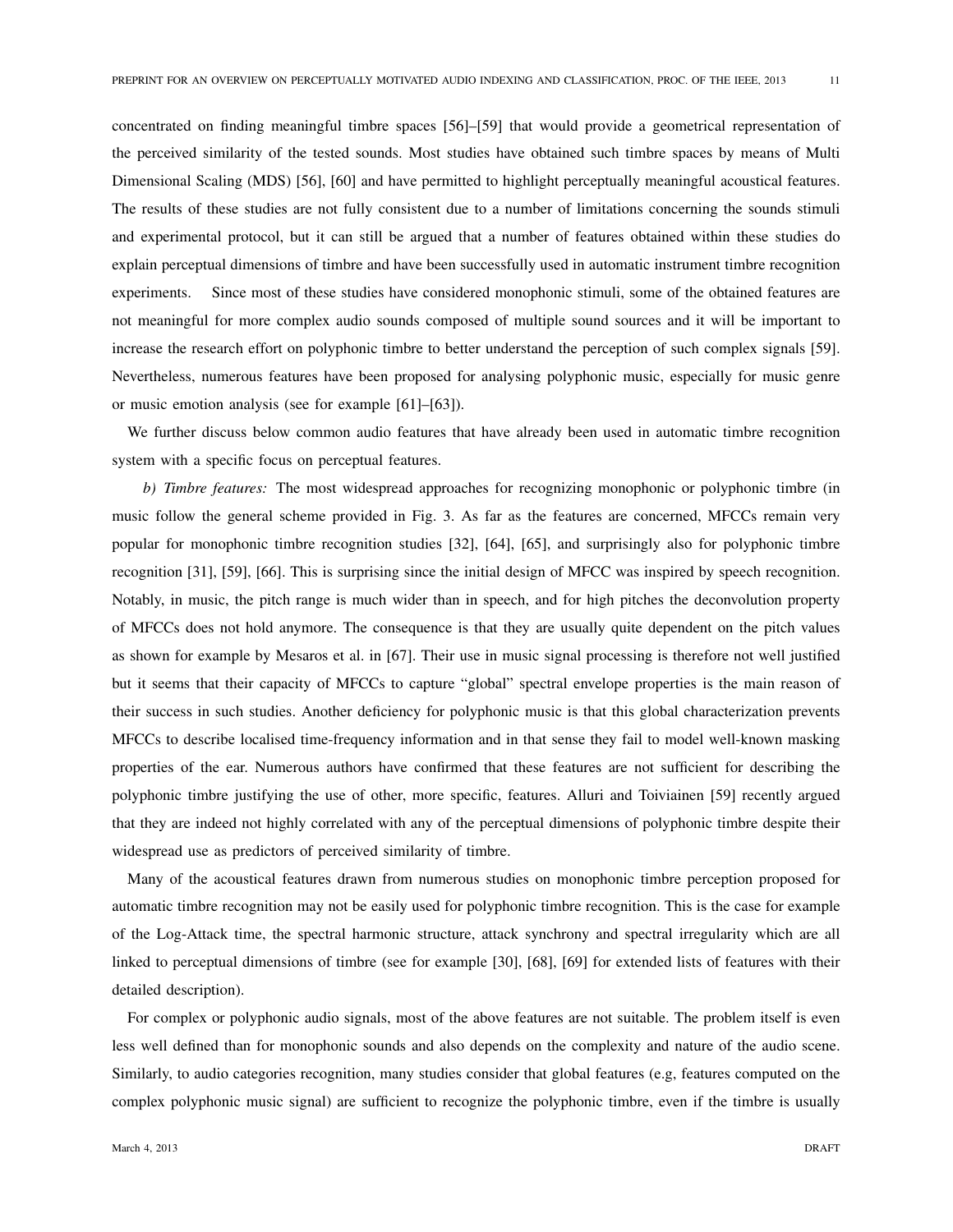concentrated on finding meaningful timbre spaces [56]–[59] that would provide a geometrical representation of the perceived similarity of the tested sounds. Most studies have obtained such timbre spaces by means of Multi Dimensional Scaling (MDS) [56], [60] and have permitted to highlight perceptually meaningful acoustical features. The results of these studies are not fully consistent due to a number of limitations concerning the sounds stimuli and experimental protocol, but it can still be argued that a number of features obtained within these studies do explain perceptual dimensions of timbre and have been successfully used in automatic instrument timbre recognition experiments. Since most of these studies have considered monophonic stimuli, some of the obtained features are not meaningful for more complex audio sounds composed of multiple sound sources and it will be important to increase the research effort on polyphonic timbre to better understand the perception of such complex signals [59]. Nevertheless, numerous features have been proposed for analysing polyphonic music, especially for music genre or music emotion analysis (see for example [61]–[63]).

We further discuss below common audio features that have already been used in automatic timbre recognition system with a specific focus on perceptual features.

*b)* Timbre features: The most widespread approaches for recognizing monophonic or polyphonic timbre (in music follow the general scheme provided in Fig. 3. As far as the features are concerned, MFCCs remain very popular for monophonic timbre recognition studies [32], [64], [65], and surprisingly also for polyphonic timbre recognition [31], [59], [66]. This is surprising since the initial design of MFCC was inspired by speech recognition. Notably, in music, the pitch range is much wider than in speech, and for high pitches the deconvolution property of MFCCs does not hold anymore. The consequence is that they are usually quite dependent on the pitch values as shown for example by Mesaros et al. in [67]. Their use in music signal processing is therefore not well justified but it seems that their capacity of MFCCs to capture "global" spectral envelope properties is the main reason of their success in such studies. Another deficiency for polyphonic music is that this global characterization prevents MFCCs to describe localised time-frequency information and in that sense they fail to model well-known masking properties of the ear. Numerous authors have confirmed that these features are not sufficient for describing the polyphonic timbre justifying the use of other, more specific, features. Alluri and Toiviainen [59] recently argued that they are indeed not highly correlated with any of the perceptual dimensions of polyphonic timbre despite their widespread use as predictors of perceived similarity of timbre.

Many of the acoustical features drawn from numerous studies on monophonic timbre perception proposed for automatic timbre recognition may not be easily used for polyphonic timbre recognition. This is the case for example of the Log-Attack time, the spectral harmonic structure, attack synchrony and spectral irregularity which are all linked to perceptual dimensions of timbre (see for example [30], [68], [69] for extended lists of features with their detailed description).

For complex or polyphonic audio signals, most of the above features are not suitable. The problem itself is even less well defined than for monophonic sounds and also depends on the complexity and nature of the audio scene. Similarly, to audio categories recognition, many studies consider that global features (e.g, features computed on the complex polyphonic music signal) are sufficient to recognize the polyphonic timbre, even if the timbre is usually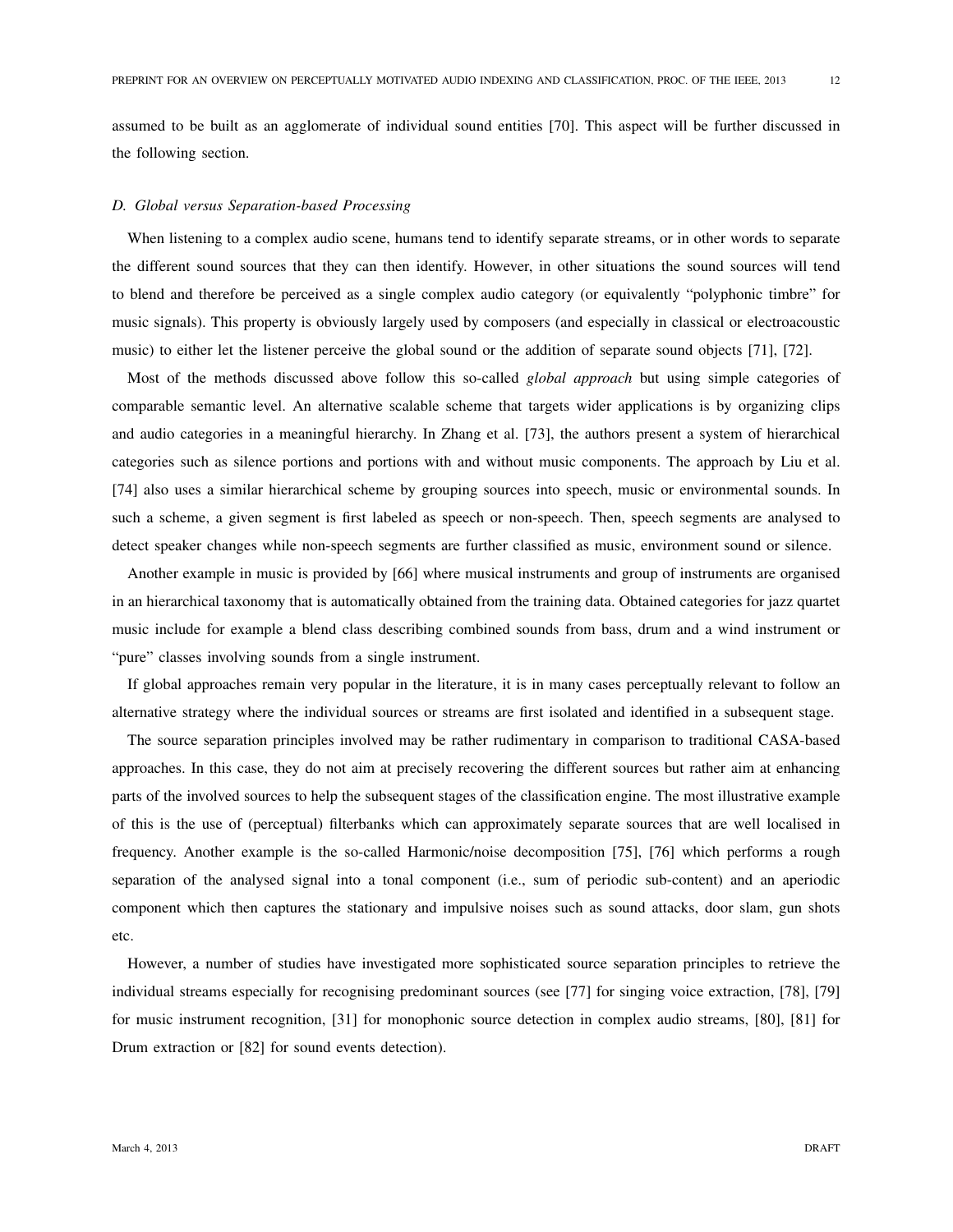assumed to be built as an agglomerate of individual sound entities [70]. This aspect will be further discussed in the following section.

## *D. Global versus Separation-based Processing*

When listening to a complex audio scene, humans tend to identify separate streams, or in other words to separate the different sound sources that they can then identify. However, in other situations the sound sources will tend to blend and therefore be perceived as a single complex audio category (or equivalently "polyphonic timbre" for music signals). This property is obviously largely used by composers (and especially in classical or electroacoustic music) to either let the listener perceive the global sound or the addition of separate sound objects [71], [72].

Most of the methods discussed above follow this so-called *global approach* but using simple categories of comparable semantic level. An alternative scalable scheme that targets wider applications is by organizing clips and audio categories in a meaningful hierarchy. In Zhang et al. [73], the authors present a system of hierarchical categories such as silence portions and portions with and without music components. The approach by Liu et al. [74] also uses a similar hierarchical scheme by grouping sources into speech, music or environmental sounds. In such a scheme, a given segment is first labeled as speech or non-speech. Then, speech segments are analysed to detect speaker changes while non-speech segments are further classified as music, environment sound or silence.

Another example in music is provided by [66] where musical instruments and group of instruments are organised in an hierarchical taxonomy that is automatically obtained from the training data. Obtained categories for jazz quartet music include for example a blend class describing combined sounds from bass, drum and a wind instrument or "pure" classes involving sounds from a single instrument.

If global approaches remain very popular in the literature, it is in many cases perceptually relevant to follow an alternative strategy where the individual sources or streams are first isolated and identified in a subsequent stage.

The source separation principles involved may be rather rudimentary in comparison to traditional CASA-based approaches. In this case, they do not aim at precisely recovering the different sources but rather aim at enhancing parts of the involved sources to help the subsequent stages of the classification engine. The most illustrative example of this is the use of (perceptual) filterbanks which can approximately separate sources that are well localised in frequency. Another example is the so-called Harmonic/noise decomposition [75], [76] which performs a rough separation of the analysed signal into a tonal component (i.e., sum of periodic sub-content) and an aperiodic component which then captures the stationary and impulsive noises such as sound attacks, door slam, gun shots etc.

However, a number of studies have investigated more sophisticated source separation principles to retrieve the individual streams especially for recognising predominant sources (see [77] for singing voice extraction, [78], [79] for music instrument recognition, [31] for monophonic source detection in complex audio streams, [80], [81] for Drum extraction or [82] for sound events detection).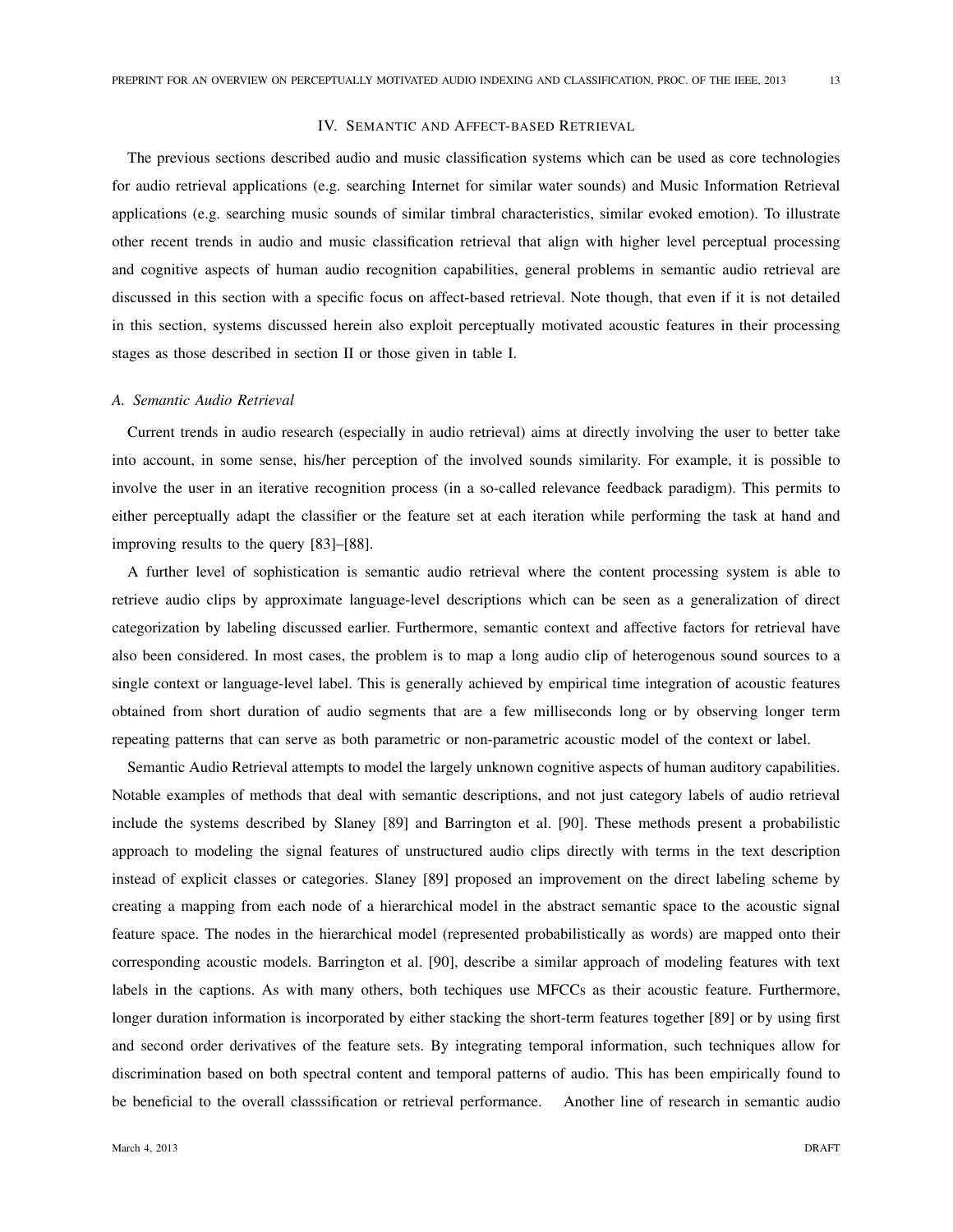# IV. SEMANTIC AND AFFECT-BASED RETRIEVAL

The previous sections described audio and music classification systems which can be used as core technologies for audio retrieval applications (e.g. searching Internet for similar water sounds) and Music Information Retrieval applications (e.g. searching music sounds of similar timbral characteristics, similar evoked emotion). To illustrate other recent trends in audio and music classification retrieval that align with higher level perceptual processing and cognitive aspects of human audio recognition capabilities, general problems in semantic audio retrieval are discussed in this section with a specific focus on affect-based retrieval. Note though, that even if it is not detailed in this section, systems discussed herein also exploit perceptually motivated acoustic features in their processing stages as those described in section II or those given in table I.

## *A. Semantic Audio Retrieval*

Current trends in audio research (especially in audio retrieval) aims at directly involving the user to better take into account, in some sense, his/her perception of the involved sounds similarity. For example, it is possible to involve the user in an iterative recognition process (in a so-called relevance feedback paradigm). This permits to either perceptually adapt the classifier or the feature set at each iteration while performing the task at hand and improving results to the query [83]–[88].

A further level of sophistication is semantic audio retrieval where the content processing system is able to retrieve audio clips by approximate language-level descriptions which can be seen as a generalization of direct categorization by labeling discussed earlier. Furthermore, semantic context and affective factors for retrieval have also been considered. In most cases, the problem is to map a long audio clip of heterogenous sound sources to a single context or language-level label. This is generally achieved by empirical time integration of acoustic features obtained from short duration of audio segments that are a few milliseconds long or by observing longer term repeating patterns that can serve as both parametric or non-parametric acoustic model of the context or label.

Semantic Audio Retrieval attempts to model the largely unknown cognitive aspects of human auditory capabilities. Notable examples of methods that deal with semantic descriptions, and not just category labels of audio retrieval include the systems described by Slaney [89] and Barrington et al. [90]. These methods present a probabilistic approach to modeling the signal features of unstructured audio clips directly with terms in the text description instead of explicit classes or categories. Slaney [89] proposed an improvement on the direct labeling scheme by creating a mapping from each node of a hierarchical model in the abstract semantic space to the acoustic signal feature space. The nodes in the hierarchical model (represented probabilistically as words) are mapped onto their corresponding acoustic models. Barrington et al. [90], describe a similar approach of modeling features with text labels in the captions. As with many others, both techiques use MFCCs as their acoustic feature. Furthermore, longer duration information is incorporated by either stacking the short-term features together [89] or by using first and second order derivatives of the feature sets. By integrating temporal information, such techniques allow for discrimination based on both spectral content and temporal patterns of audio. This has been empirically found to be beneficial to the overall classsification or retrieval performance. Another line of research in semantic audio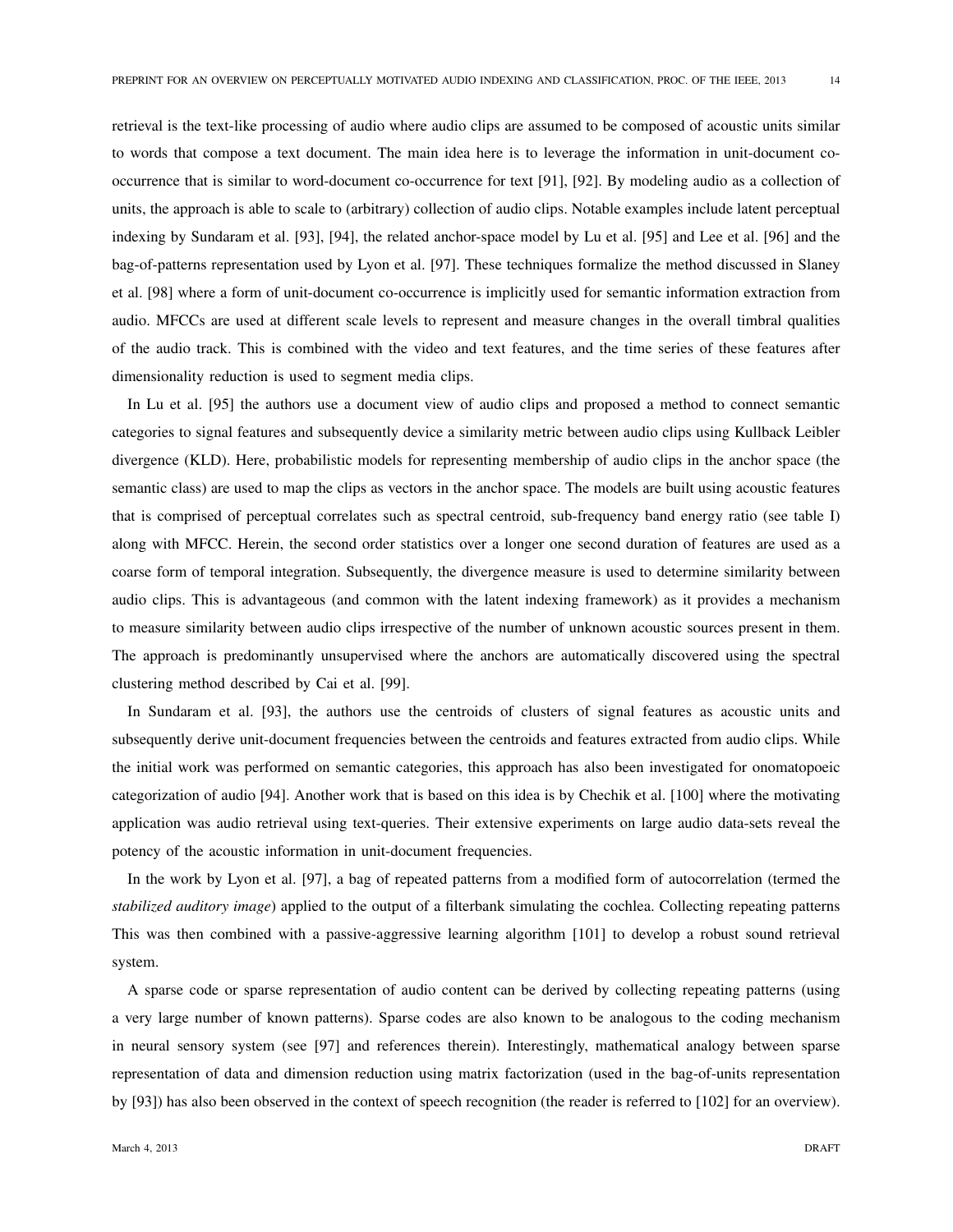retrieval is the text-like processing of audio where audio clips are assumed to be composed of acoustic units similar to words that compose a text document. The main idea here is to leverage the information in unit-document cooccurrence that is similar to word-document co-occurrence for text [91], [92]. By modeling audio as a collection of units, the approach is able to scale to (arbitrary) collection of audio clips. Notable examples include latent perceptual indexing by Sundaram et al. [93], [94], the related anchor-space model by Lu et al. [95] and Lee et al. [96] and the bag-of-patterns representation used by Lyon et al. [97]. These techniques formalize the method discussed in Slaney et al. [98] where a form of unit-document co-occurrence is implicitly used for semantic information extraction from audio. MFCCs are used at different scale levels to represent and measure changes in the overall timbral qualities of the audio track. This is combined with the video and text features, and the time series of these features after dimensionality reduction is used to segment media clips.

In Lu et al. [95] the authors use a document view of audio clips and proposed a method to connect semantic categories to signal features and subsequently device a similarity metric between audio clips using Kullback Leibler divergence (KLD). Here, probabilistic models for representing membership of audio clips in the anchor space (the semantic class) are used to map the clips as vectors in the anchor space. The models are built using acoustic features that is comprised of perceptual correlates such as spectral centroid, sub-frequency band energy ratio (see table I) along with MFCC. Herein, the second order statistics over a longer one second duration of features are used as a coarse form of temporal integration. Subsequently, the divergence measure is used to determine similarity between audio clips. This is advantageous (and common with the latent indexing framework) as it provides a mechanism to measure similarity between audio clips irrespective of the number of unknown acoustic sources present in them. The approach is predominantly unsupervised where the anchors are automatically discovered using the spectral clustering method described by Cai et al. [99].

In Sundaram et al. [93], the authors use the centroids of clusters of signal features as acoustic units and subsequently derive unit-document frequencies between the centroids and features extracted from audio clips. While the initial work was performed on semantic categories, this approach has also been investigated for onomatopoeic categorization of audio [94]. Another work that is based on this idea is by Chechik et al. [100] where the motivating application was audio retrieval using text-queries. Their extensive experiments on large audio data-sets reveal the potency of the acoustic information in unit-document frequencies.

In the work by Lyon et al. [97], a bag of repeated patterns from a modified form of autocorrelation (termed the *stabilized auditory image*) applied to the output of a filterbank simulating the cochlea. Collecting repeating patterns This was then combined with a passive-aggressive learning algorithm [101] to develop a robust sound retrieval system.

A sparse code or sparse representation of audio content can be derived by collecting repeating patterns (using a very large number of known patterns). Sparse codes are also known to be analogous to the coding mechanism in neural sensory system (see [97] and references therein). Interestingly, mathematical analogy between sparse representation of data and dimension reduction using matrix factorization (used in the bag-of-units representation by [93]) has also been observed in the context of speech recognition (the reader is referred to [102] for an overview).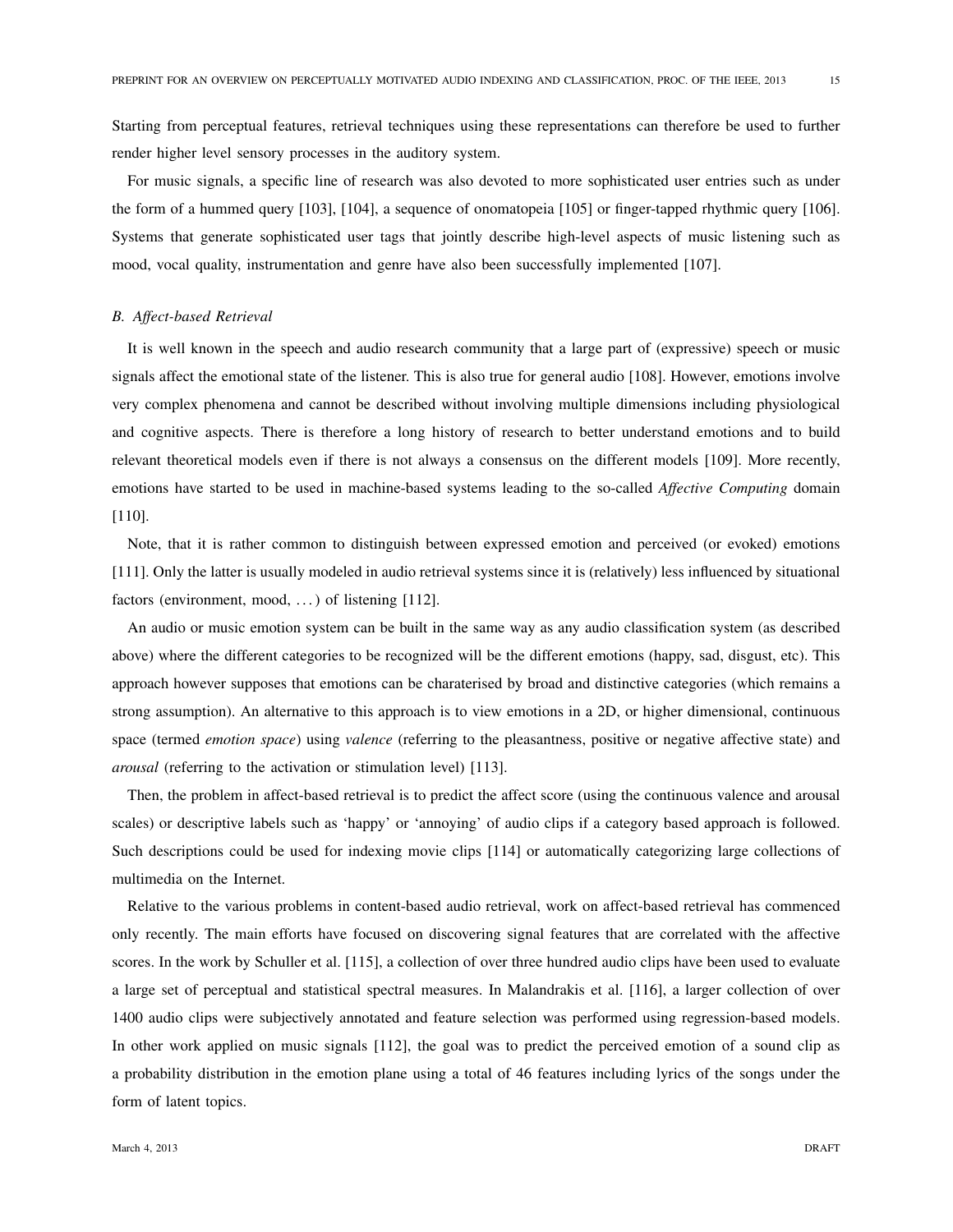Starting from perceptual features, retrieval techniques using these representations can therefore be used to further render higher level sensory processes in the auditory system.

For music signals, a specific line of research was also devoted to more sophisticated user entries such as under the form of a hummed query [103], [104], a sequence of onomatopeia [105] or finger-tapped rhythmic query [106]. Systems that generate sophisticated user tags that jointly describe high-level aspects of music listening such as mood, vocal quality, instrumentation and genre have also been successfully implemented [107].

# *B. Affect-based Retrieval*

It is well known in the speech and audio research community that a large part of (expressive) speech or music signals affect the emotional state of the listener. This is also true for general audio [108]. However, emotions involve very complex phenomena and cannot be described without involving multiple dimensions including physiological and cognitive aspects. There is therefore a long history of research to better understand emotions and to build relevant theoretical models even if there is not always a consensus on the different models [109]. More recently, emotions have started to be used in machine-based systems leading to the so-called *Affective Computing* domain [110].

Note, that it is rather common to distinguish between expressed emotion and perceived (or evoked) emotions [111]. Only the latter is usually modeled in audio retrieval systems since it is (relatively) less influenced by situational factors (environment, mood, ...) of listening  $[112]$ .

An audio or music emotion system can be built in the same way as any audio classification system (as described above) where the different categories to be recognized will be the different emotions (happy, sad, disgust, etc). This approach however supposes that emotions can be charaterised by broad and distinctive categories (which remains a strong assumption). An alternative to this approach is to view emotions in a 2D, or higher dimensional, continuous space (termed *emotion space*) using *valence* (referring to the pleasantness, positive or negative affective state) and *arousal* (referring to the activation or stimulation level) [113].

Then, the problem in affect-based retrieval is to predict the affect score (using the continuous valence and arousal scales) or descriptive labels such as 'happy' or 'annoying' of audio clips if a category based approach is followed. Such descriptions could be used for indexing movie clips [114] or automatically categorizing large collections of multimedia on the Internet.

Relative to the various problems in content-based audio retrieval, work on affect-based retrieval has commenced only recently. The main efforts have focused on discovering signal features that are correlated with the affective scores. In the work by Schuller et al. [115], a collection of over three hundred audio clips have been used to evaluate a large set of perceptual and statistical spectral measures. In Malandrakis et al. [116], a larger collection of over 1400 audio clips were subjectively annotated and feature selection was performed using regression-based models. In other work applied on music signals [112], the goal was to predict the perceived emotion of a sound clip as a probability distribution in the emotion plane using a total of 46 features including lyrics of the songs under the form of latent topics.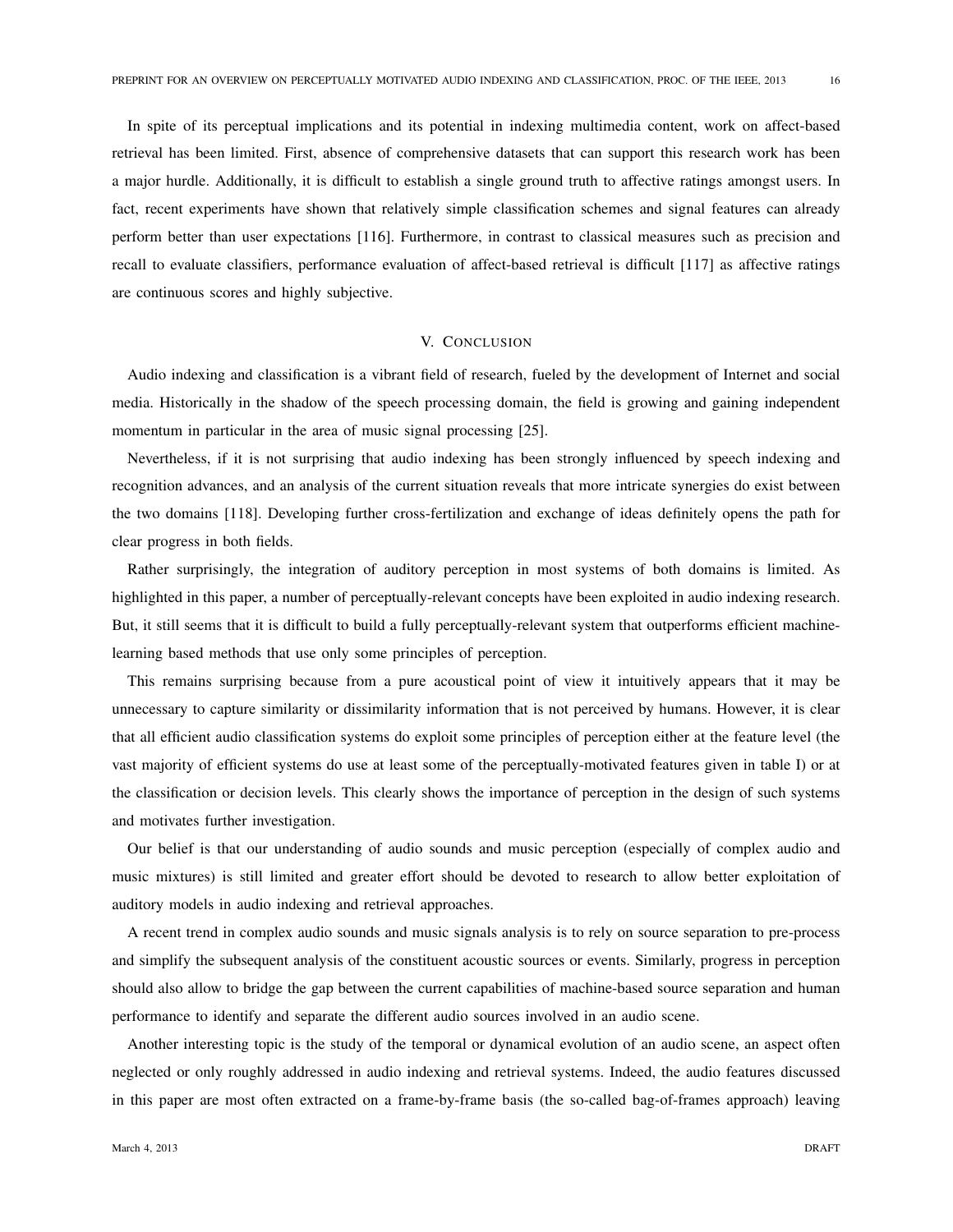In spite of its perceptual implications and its potential in indexing multimedia content, work on affect-based retrieval has been limited. First, absence of comprehensive datasets that can support this research work has been a major hurdle. Additionally, it is difficult to establish a single ground truth to affective ratings amongst users. In fact, recent experiments have shown that relatively simple classification schemes and signal features can already perform better than user expectations [116]. Furthermore, in contrast to classical measures such as precision and recall to evaluate classifiers, performance evaluation of affect-based retrieval is difficult [117] as affective ratings are continuous scores and highly subjective.

# V. CONCLUSION

Audio indexing and classification is a vibrant field of research, fueled by the development of Internet and social media. Historically in the shadow of the speech processing domain, the field is growing and gaining independent momentum in particular in the area of music signal processing [25].

Nevertheless, if it is not surprising that audio indexing has been strongly influenced by speech indexing and recognition advances, and an analysis of the current situation reveals that more intricate synergies do exist between the two domains [118]. Developing further cross-fertilization and exchange of ideas definitely opens the path for clear progress in both fields.

Rather surprisingly, the integration of auditory perception in most systems of both domains is limited. As highlighted in this paper, a number of perceptually-relevant concepts have been exploited in audio indexing research. But, it still seems that it is difficult to build a fully perceptually-relevant system that outperforms efficient machinelearning based methods that use only some principles of perception.

This remains surprising because from a pure acoustical point of view it intuitively appears that it may be unnecessary to capture similarity or dissimilarity information that is not perceived by humans. However, it is clear that all efficient audio classification systems do exploit some principles of perception either at the feature level (the vast majority of efficient systems do use at least some of the perceptually-motivated features given in table I) or at the classification or decision levels. This clearly shows the importance of perception in the design of such systems and motivates further investigation.

Our belief is that our understanding of audio sounds and music perception (especially of complex audio and music mixtures) is still limited and greater effort should be devoted to research to allow better exploitation of auditory models in audio indexing and retrieval approaches.

A recent trend in complex audio sounds and music signals analysis is to rely on source separation to pre-process and simplify the subsequent analysis of the constituent acoustic sources or events. Similarly, progress in perception should also allow to bridge the gap between the current capabilities of machine-based source separation and human performance to identify and separate the different audio sources involved in an audio scene.

Another interesting topic is the study of the temporal or dynamical evolution of an audio scene, an aspect often neglected or only roughly addressed in audio indexing and retrieval systems. Indeed, the audio features discussed in this paper are most often extracted on a frame-by-frame basis (the so-called bag-of-frames approach) leaving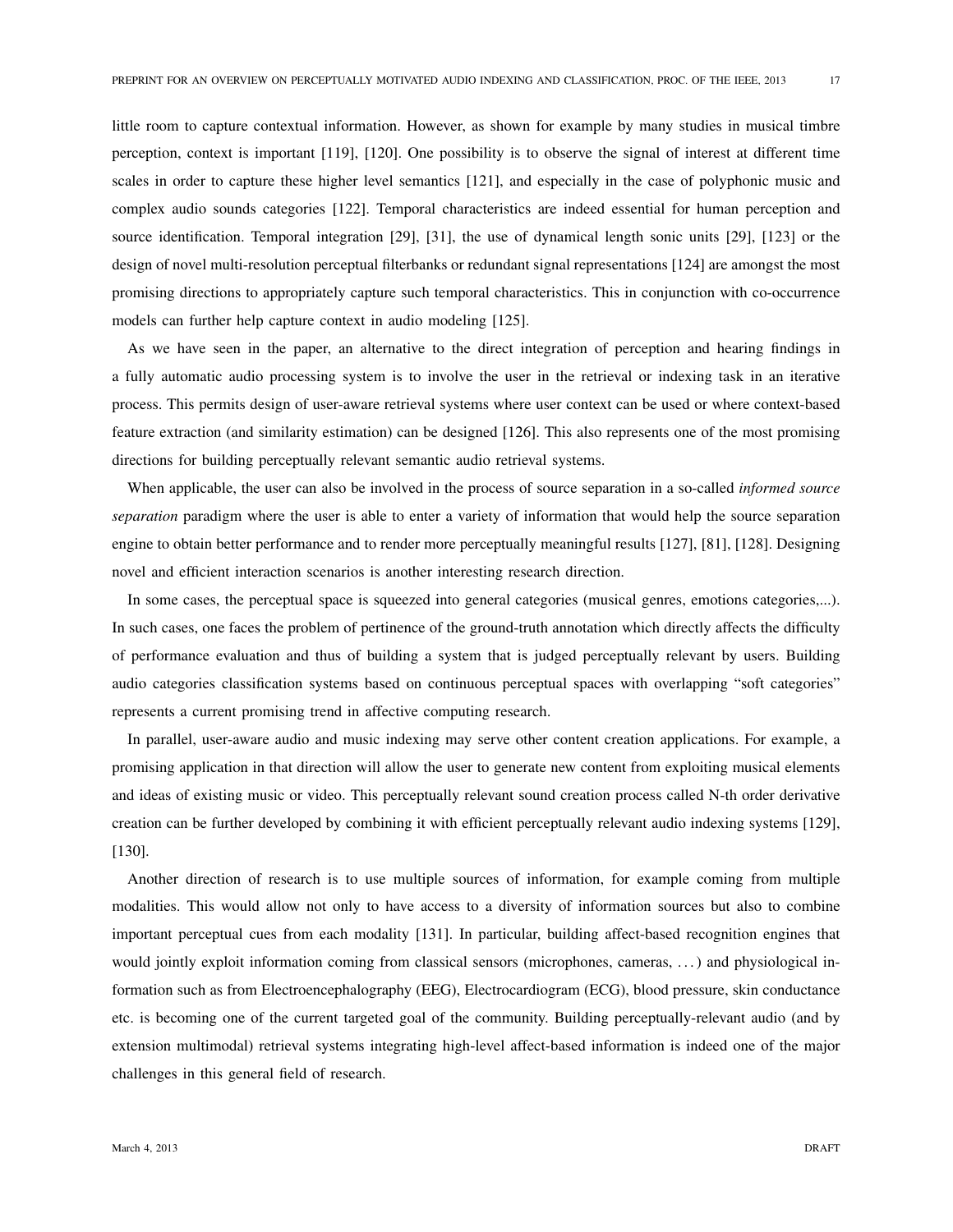little room to capture contextual information. However, as shown for example by many studies in musical timbre perception, context is important [119], [120]. One possibility is to observe the signal of interest at different time scales in order to capture these higher level semantics [121], and especially in the case of polyphonic music and complex audio sounds categories [122]. Temporal characteristics are indeed essential for human perception and source identification. Temporal integration [29], [31], the use of dynamical length sonic units [29], [123] or the design of novel multi-resolution perceptual filterbanks or redundant signal representations [124] are amongst the most promising directions to appropriately capture such temporal characteristics. This in conjunction with co-occurrence models can further help capture context in audio modeling [125].

As we have seen in the paper, an alternative to the direct integration of perception and hearing findings in a fully automatic audio processing system is to involve the user in the retrieval or indexing task in an iterative process. This permits design of user-aware retrieval systems where user context can be used or where context-based feature extraction (and similarity estimation) can be designed [126]. This also represents one of the most promising directions for building perceptually relevant semantic audio retrieval systems.

When applicable, the user can also be involved in the process of source separation in a so-called *informed source separation* paradigm where the user is able to enter a variety of information that would help the source separation engine to obtain better performance and to render more perceptually meaningful results [127], [81], [128]. Designing novel and efficient interaction scenarios is another interesting research direction.

In some cases, the perceptual space is squeezed into general categories (musical genres, emotions categories,...). In such cases, one faces the problem of pertinence of the ground-truth annotation which directly affects the difficulty of performance evaluation and thus of building a system that is judged perceptually relevant by users. Building audio categories classification systems based on continuous perceptual spaces with overlapping "soft categories" represents a current promising trend in affective computing research.

In parallel, user-aware audio and music indexing may serve other content creation applications. For example, a promising application in that direction will allow the user to generate new content from exploiting musical elements and ideas of existing music or video. This perceptually relevant sound creation process called N-th order derivative creation can be further developed by combining it with efficient perceptually relevant audio indexing systems [129], [130].

Another direction of research is to use multiple sources of information, for example coming from multiple modalities. This would allow not only to have access to a diversity of information sources but also to combine important perceptual cues from each modality [131]. In particular, building affect-based recognition engines that would jointly exploit information coming from classical sensors (microphones, cameras, . . . ) and physiological information such as from Electroencephalography (EEG), Electrocardiogram (ECG), blood pressure, skin conductance etc. is becoming one of the current targeted goal of the community. Building perceptually-relevant audio (and by extension multimodal) retrieval systems integrating high-level affect-based information is indeed one of the major challenges in this general field of research.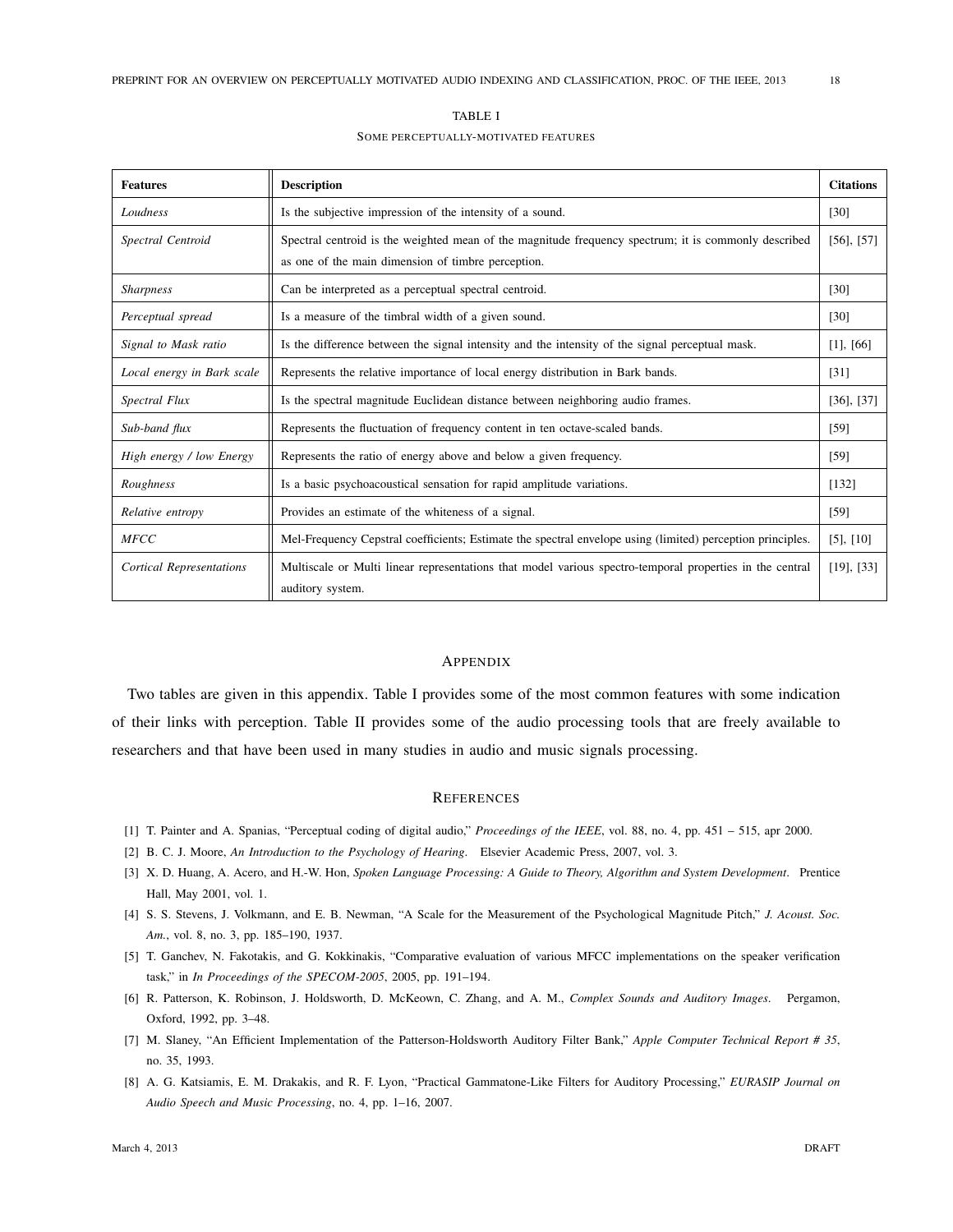| TABLE I                              |  |
|--------------------------------------|--|
| SOME PERCEPTUALLY-MOTIVATED FEATURES |  |

| <b>Features</b>                 | <b>Description</b>                                                                                                                                         | <b>Citations</b> |
|---------------------------------|------------------------------------------------------------------------------------------------------------------------------------------------------------|------------------|
| Loudness                        | Is the subjective impression of the intensity of a sound.                                                                                                  | $[30]$           |
| Spectral Centroid               | Spectral centroid is the weighted mean of the magnitude frequency spectrum; it is commonly described<br>as one of the main dimension of timbre perception. | $[56]$ , $[57]$  |
| <b>Sharpness</b>                | Can be interpreted as a perceptual spectral centroid.                                                                                                      | $[30]$           |
| Perceptual spread               | Is a measure of the timbral width of a given sound.                                                                                                        | [30]             |
| Signal to Mask ratio            | Is the difference between the signal intensity and the intensity of the signal perceptual mask.                                                            | $[1]$ , $[66]$   |
| Local energy in Bark scale      | Represents the relative importance of local energy distribution in Bark bands.                                                                             | [31]             |
| Spectral Flux                   | Is the spectral magnitude Euclidean distance between neighboring audio frames.                                                                             | $[36]$ , $[37]$  |
| Sub-band flux                   | Represents the fluctuation of frequency content in ten octave-scaled bands.                                                                                | [59]             |
| High energy / low Energy        | Represents the ratio of energy above and below a given frequency.                                                                                          | [59]             |
| Roughness                       | Is a basic psychoacoustical sensation for rapid amplitude variations.                                                                                      | [132]            |
| Relative entropy                | Provides an estimate of the whiteness of a signal.                                                                                                         | [59]             |
| <b>MFCC</b>                     | Mel-Frequency Cepstral coefficients; Estimate the spectral envelope using (limited) perception principles.                                                 | $[5]$ , $[10]$   |
| <b>Cortical Representations</b> | Multiscale or Multi linear representations that model various spectro-temporal properties in the central<br>auditory system.                               | $[19]$ , $[33]$  |

#### **APPENDIX**

Two tables are given in this appendix. Table I provides some of the most common features with some indication of their links with perception. Table II provides some of the audio processing tools that are freely available to researchers and that have been used in many studies in audio and music signals processing.

# **REFERENCES**

- [1] T. Painter and A. Spanias, "Perceptual coding of digital audio," *Proceedings of the IEEE*, vol. 88, no. 4, pp. 451 515, apr 2000.
- [2] B. C. J. Moore, *An Introduction to the Psychology of Hearing*. Elsevier Academic Press, 2007, vol. 3.
- [3] X. D. Huang, A. Acero, and H.-W. Hon, *Spoken Language Processing: A Guide to Theory, Algorithm and System Development*. Prentice Hall, May 2001, vol. 1.
- [4] S. S. Stevens, J. Volkmann, and E. B. Newman, "A Scale for the Measurement of the Psychological Magnitude Pitch," *J. Acoust. Soc. Am.*, vol. 8, no. 3, pp. 185–190, 1937.
- [5] T. Ganchev, N. Fakotakis, and G. Kokkinakis, "Comparative evaluation of various MFCC implementations on the speaker verification task," in *In Proceedings of the SPECOM-2005*, 2005, pp. 191–194.
- [6] R. Patterson, K. Robinson, J. Holdsworth, D. McKeown, C. Zhang, and A. M., *Complex Sounds and Auditory Images*. Pergamon, Oxford, 1992, pp. 3–48.
- [7] M. Slaney, "An Efficient Implementation of the Patterson-Holdsworth Auditory Filter Bank," *Apple Computer Technical Report # 35*, no. 35, 1993.
- [8] A. G. Katsiamis, E. M. Drakakis, and R. F. Lyon, "Practical Gammatone-Like Filters for Auditory Processing," *EURASIP Journal on Audio Speech and Music Processing*, no. 4, pp. 1–16, 2007.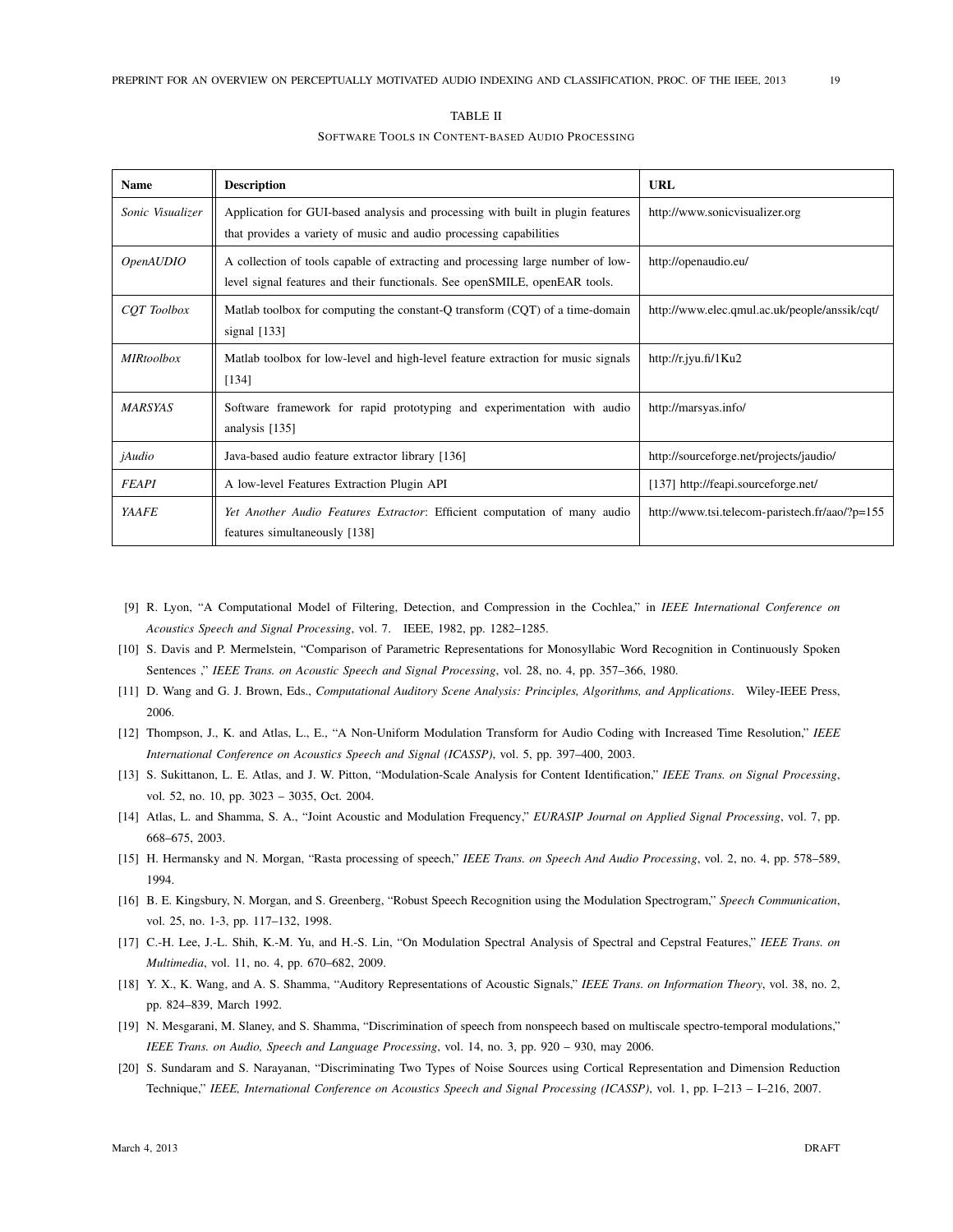| <b>Name</b>        | <b>Description</b>                                                                                                                                            | <b>URL</b>                                     |
|--------------------|---------------------------------------------------------------------------------------------------------------------------------------------------------------|------------------------------------------------|
| Sonic Visualizer   | Application for GUI-based analysis and processing with built in plugin features<br>that provides a variety of music and audio processing capabilities         | http://www.sonicvisualizer.org                 |
| <i>OpenAUDIO</i>   | A collection of tools capable of extracting and processing large number of low-<br>level signal features and their functionals. See openSMILE, openEAR tools. | http://openaudio.eu/                           |
| <b>COT</b> Toolbox | Matlab toolbox for computing the constant-Q transform (CQT) of a time-domain<br>signal [133]                                                                  | http://www.elec.qmul.ac.uk/people/anssik/cqt/  |
| <b>MIRtoolbox</b>  | Matlab toolbox for low-level and high-level feature extraction for music signals<br>[134]                                                                     | http://r.jyu.fi/1 $Ku2$                        |
| <b>MARSYAS</b>     | Software framework for rapid prototyping and experimentation with audio<br>analysis [135]                                                                     | http://marsyas.info/                           |
| jAudio             | Java-based audio feature extractor library [136]                                                                                                              | http://sourceforge.net/projects/jaudio/        |
| <b>FEAPI</b>       | A low-level Features Extraction Plugin API                                                                                                                    | [137] http://feapi.sourceforge.net/            |
| <b>YAAFE</b>       | Yet Another Audio Features Extractor: Efficient computation of many audio<br>features simultaneously [138]                                                    | http://www.tsi.telecom-paristech.fr/aao/?p=155 |

# TABLE II

### SOFTWARE TOOLS IN CONTENT-BASED AUDIO PROCESSING

- [9] R. Lyon, "A Computational Model of Filtering, Detection, and Compression in the Cochlea," in *IEEE International Conference on Acoustics Speech and Signal Processing*, vol. 7. IEEE, 1982, pp. 1282–1285.
- [10] S. Davis and P. Mermelstein, "Comparison of Parametric Representations for Monosyllabic Word Recognition in Continuously Spoken Sentences ," *IEEE Trans. on Acoustic Speech and Signal Processing*, vol. 28, no. 4, pp. 357–366, 1980.
- [11] D. Wang and G. J. Brown, Eds., *Computational Auditory Scene Analysis: Principles, Algorithms, and Applications*. Wiley-IEEE Press, 2006.
- [12] Thompson, J., K. and Atlas, L., E., "A Non-Uniform Modulation Transform for Audio Coding with Increased Time Resolution," *IEEE International Conference on Acoustics Speech and Signal (ICASSP)*, vol. 5, pp. 397–400, 2003.
- [13] S. Sukittanon, L. E. Atlas, and J. W. Pitton, "Modulation-Scale Analysis for Content Identification," *IEEE Trans. on Signal Processing*, vol. 52, no. 10, pp. 3023 – 3035, Oct. 2004.
- [14] Atlas, L. and Shamma, S. A., "Joint Acoustic and Modulation Frequency," *EURASIP Journal on Applied Signal Processing*, vol. 7, pp. 668–675, 2003.
- [15] H. Hermansky and N. Morgan, "Rasta processing of speech," *IEEE Trans. on Speech And Audio Processing*, vol. 2, no. 4, pp. 578–589, 1994.
- [16] B. E. Kingsbury, N. Morgan, and S. Greenberg, "Robust Speech Recognition using the Modulation Spectrogram," *Speech Communication*, vol. 25, no. 1-3, pp. 117–132, 1998.
- [17] C.-H. Lee, J.-L. Shih, K.-M. Yu, and H.-S. Lin, "On Modulation Spectral Analysis of Spectral and Cepstral Features," *IEEE Trans. on Multimedia*, vol. 11, no. 4, pp. 670–682, 2009.
- [18] Y. X., K. Wang, and A. S. Shamma, "Auditory Representations of Acoustic Signals," *IEEE Trans. on Information Theory*, vol. 38, no. 2, pp. 824–839, March 1992.
- [19] N. Mesgarani, M. Slaney, and S. Shamma, "Discrimination of speech from nonspeech based on multiscale spectro-temporal modulations," *IEEE Trans. on Audio, Speech and Language Processing*, vol. 14, no. 3, pp. 920 – 930, may 2006.
- [20] S. Sundaram and S. Narayanan, "Discriminating Two Types of Noise Sources using Cortical Representation and Dimension Reduction Technique," *IEEE, International Conference on Acoustics Speech and Signal Processing (ICASSP)*, vol. 1, pp. I–213 – I–216, 2007.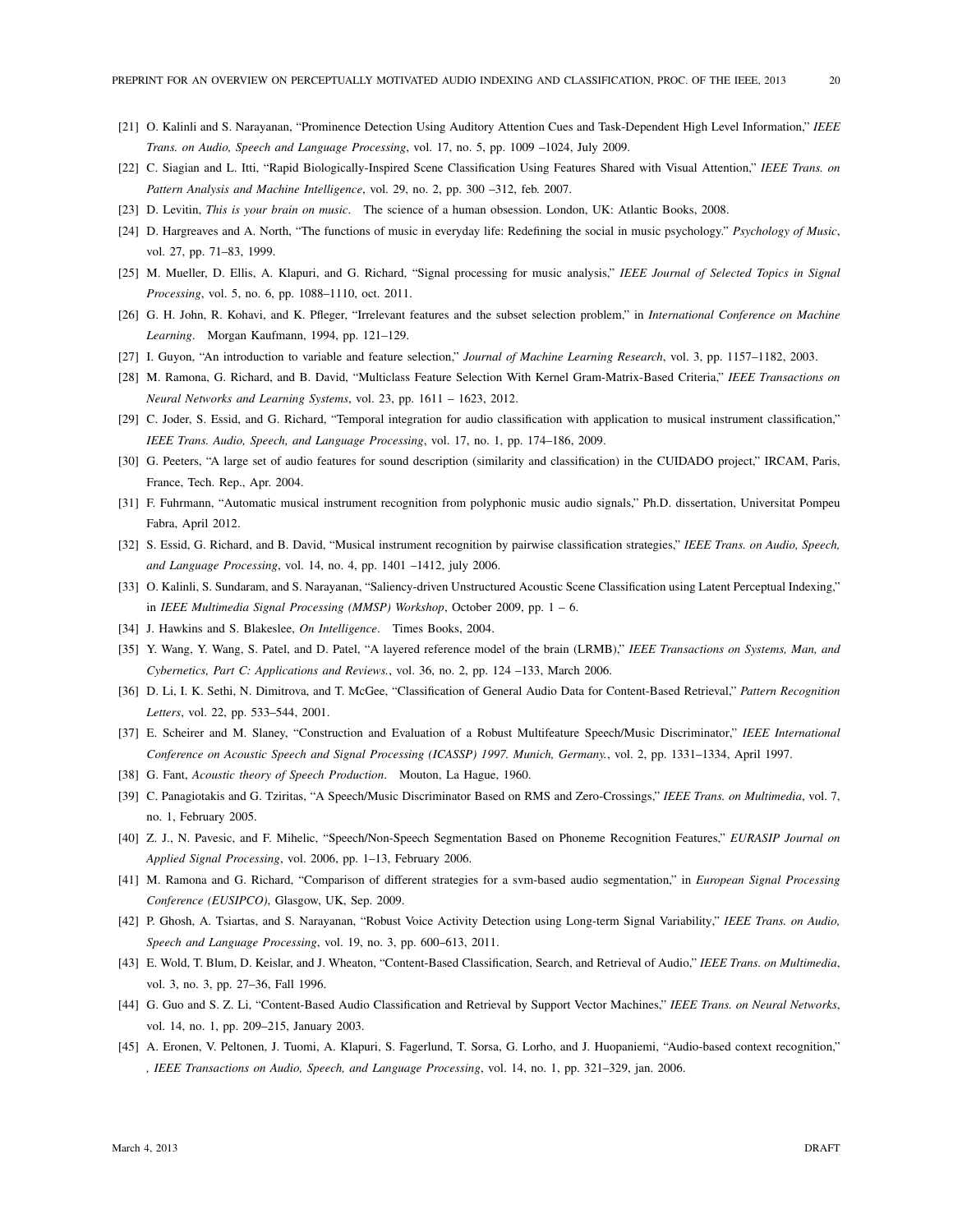- [21] O. Kalinli and S. Narayanan, "Prominence Detection Using Auditory Attention Cues and Task-Dependent High Level Information," *IEEE Trans. on Audio, Speech and Language Processing*, vol. 17, no. 5, pp. 1009 –1024, July 2009.
- [22] C. Siagian and L. Itti, "Rapid Biologically-Inspired Scene Classification Using Features Shared with Visual Attention," *IEEE Trans. on Pattern Analysis and Machine Intelligence*, vol. 29, no. 2, pp. 300 –312, feb. 2007.
- [23] D. Levitin, *This is your brain on music*. The science of a human obsession. London, UK: Atlantic Books, 2008.
- [24] D. Hargreaves and A. North, "The functions of music in everyday life: Redefining the social in music psychology." *Psychology of Music*, vol. 27, pp. 71–83, 1999.
- [25] M. Mueller, D. Ellis, A. Klapuri, and G. Richard, "Signal processing for music analysis," *IEEE Journal of Selected Topics in Signal Processing*, vol. 5, no. 6, pp. 1088–1110, oct. 2011.
- [26] G. H. John, R. Kohavi, and K. Pfleger, "Irrelevant features and the subset selection problem," in *International Conference on Machine Learning*. Morgan Kaufmann, 1994, pp. 121–129.
- [27] I. Guyon, "An introduction to variable and feature selection," *Journal of Machine Learning Research*, vol. 3, pp. 1157–1182, 2003.
- [28] M. Ramona, G. Richard, and B. David, "Multiclass Feature Selection With Kernel Gram-Matrix-Based Criteria," *IEEE Transactions on Neural Networks and Learning Systems*, vol. 23, pp. 1611 – 1623, 2012.
- [29] C. Joder, S. Essid, and G. Richard, "Temporal integration for audio classification with application to musical instrument classification," *IEEE Trans. Audio, Speech, and Language Processing*, vol. 17, no. 1, pp. 174–186, 2009.
- [30] G. Peeters, "A large set of audio features for sound description (similarity and classification) in the CUIDADO project," IRCAM, Paris, France, Tech. Rep., Apr. 2004.
- [31] F. Fuhrmann, "Automatic musical instrument recognition from polyphonic music audio signals," Ph.D. dissertation, Universitat Pompeu Fabra, April 2012.
- [32] S. Essid, G. Richard, and B. David, "Musical instrument recognition by pairwise classification strategies," *IEEE Trans. on Audio, Speech, and Language Processing*, vol. 14, no. 4, pp. 1401 –1412, july 2006.
- [33] O. Kalinli, S. Sundaram, and S. Narayanan, "Saliency-driven Unstructured Acoustic Scene Classification using Latent Perceptual Indexing," in *IEEE Multimedia Signal Processing (MMSP) Workshop*, October 2009, pp. 1 – 6.
- [34] J. Hawkins and S. Blakeslee, *On Intelligence*. Times Books, 2004.
- [35] Y. Wang, Y. Wang, S. Patel, and D. Patel, "A layered reference model of the brain (LRMB)," *IEEE Transactions on Systems, Man, and Cybernetics, Part C: Applications and Reviews.*, vol. 36, no. 2, pp. 124 –133, March 2006.
- [36] D. Li, I. K. Sethi, N. Dimitrova, and T. McGee, "Classification of General Audio Data for Content-Based Retrieval," *Pattern Recognition Letters*, vol. 22, pp. 533–544, 2001.
- [37] E. Scheirer and M. Slaney, "Construction and Evaluation of a Robust Multifeature Speech/Music Discriminator," *IEEE International Conference on Acoustic Speech and Signal Processing (ICASSP) 1997. Munich, Germany.*, vol. 2, pp. 1331–1334, April 1997.
- [38] G. Fant, *Acoustic theory of Speech Production*. Mouton, La Hague, 1960.
- [39] C. Panagiotakis and G. Tziritas, "A Speech/Music Discriminator Based on RMS and Zero-Crossings," *IEEE Trans. on Multimedia*, vol. 7, no. 1, February 2005.
- [40] Z. J., N. Pavesic, and F. Mihelic, "Speech/Non-Speech Segmentation Based on Phoneme Recognition Features," *EURASIP Journal on Applied Signal Processing*, vol. 2006, pp. 1–13, February 2006.
- [41] M. Ramona and G. Richard, "Comparison of different strategies for a svm-based audio segmentation," in *European Signal Processing Conference (EUSIPCO)*, Glasgow, UK, Sep. 2009.
- [42] P. Ghosh, A. Tsiartas, and S. Narayanan, "Robust Voice Activity Detection using Long-term Signal Variability," *IEEE Trans. on Audio, Speech and Language Processing*, vol. 19, no. 3, pp. 600–613, 2011.
- [43] E. Wold, T. Blum, D. Keislar, and J. Wheaton, "Content-Based Classification, Search, and Retrieval of Audio," *IEEE Trans. on Multimedia*, vol. 3, no. 3, pp. 27–36, Fall 1996.
- [44] G. Guo and S. Z. Li, "Content-Based Audio Classification and Retrieval by Support Vector Machines," *IEEE Trans. on Neural Networks*, vol. 14, no. 1, pp. 209–215, January 2003.
- [45] A. Eronen, V. Peltonen, J. Tuomi, A. Klapuri, S. Fagerlund, T. Sorsa, G. Lorho, and J. Huopaniemi, "Audio-based context recognition," *, IEEE Transactions on Audio, Speech, and Language Processing*, vol. 14, no. 1, pp. 321–329, jan. 2006.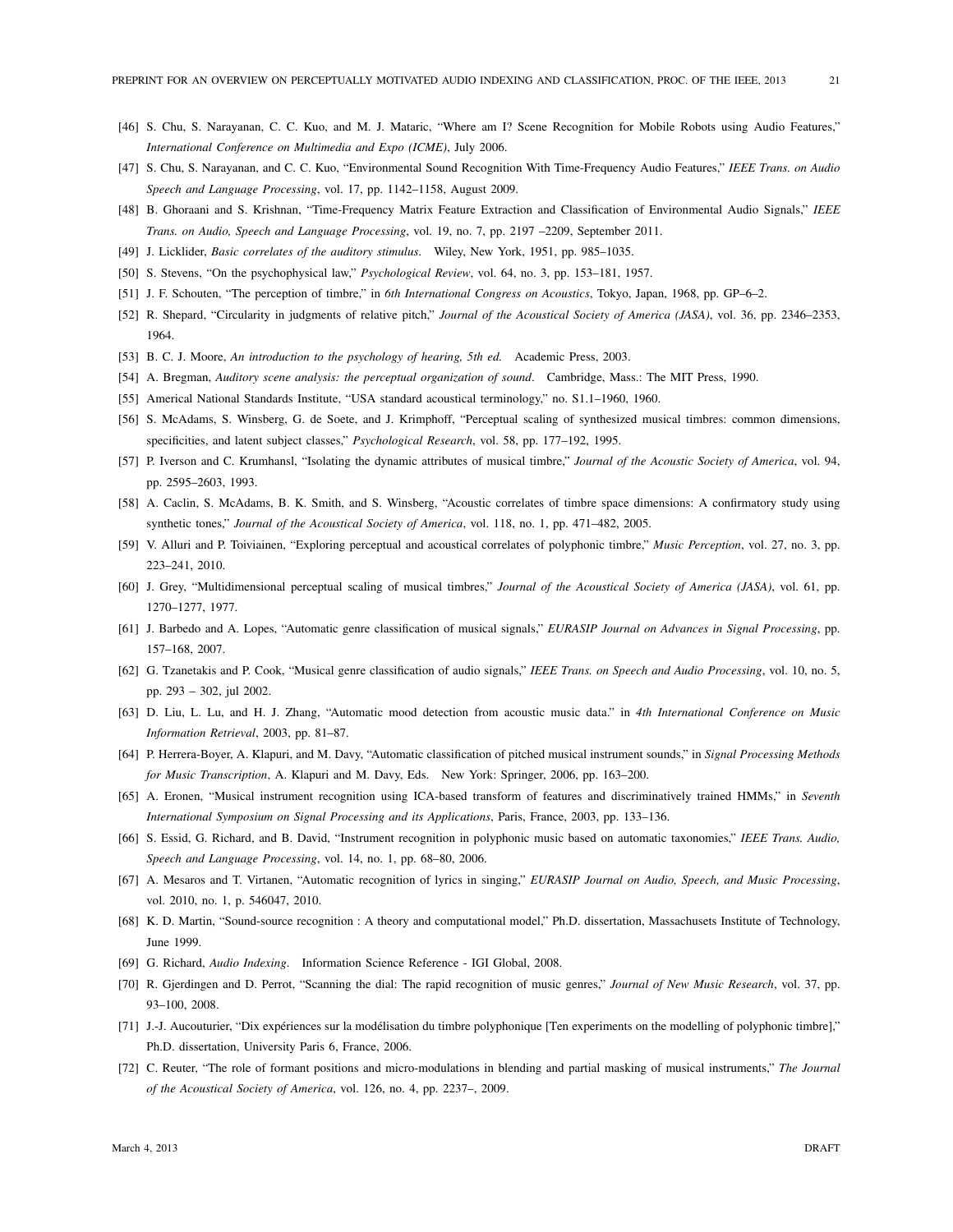- [46] S. Chu, S. Narayanan, C. C. Kuo, and M. J. Mataric, "Where am I? Scene Recognition for Mobile Robots using Audio Features," *International Conference on Multimedia and Expo (ICME)*, July 2006.
- [47] S. Chu, S. Narayanan, and C. C. Kuo, "Environmental Sound Recognition With Time-Frequency Audio Features," *IEEE Trans. on Audio Speech and Language Processing*, vol. 17, pp. 1142–1158, August 2009.
- [48] B. Ghoraani and S. Krishnan, "Time-Frequency Matrix Feature Extraction and Classification of Environmental Audio Signals," *IEEE Trans. on Audio, Speech and Language Processing*, vol. 19, no. 7, pp. 2197 –2209, September 2011.
- [49] J. Licklider, *Basic correlates of the auditory stimulus*. Wiley, New York, 1951, pp. 985–1035.
- [50] S. Stevens, "On the psychophysical law," *Psychological Review*, vol. 64, no. 3, pp. 153–181, 1957.
- [51] J. F. Schouten, "The perception of timbre," in *6th International Congress on Acoustics*, Tokyo, Japan, 1968, pp. GP–6–2.
- [52] R. Shepard, "Circularity in judgments of relative pitch," *Journal of the Acoustical Society of America (JASA)*, vol. 36, pp. 2346–2353, 1964.
- [53] B. C. J. Moore, *An introduction to the psychology of hearing, 5th ed.* Academic Press, 2003.
- [54] A. Bregman, *Auditory scene analysis: the perceptual organization of sound*. Cambridge, Mass.: The MIT Press, 1990.
- [55] Americal National Standards Institute, "USA standard acoustical terminology," no. S1.1–1960, 1960.
- [56] S. McAdams, S. Winsberg, G. de Soete, and J. Krimphoff, "Perceptual scaling of synthesized musical timbres: common dimensions, specificities, and latent subject classes," *Psychological Research*, vol. 58, pp. 177–192, 1995.
- [57] P. Iverson and C. Krumhansl, "Isolating the dynamic attributes of musical timbre," *Journal of the Acoustic Society of America*, vol. 94, pp. 2595–2603, 1993.
- [58] A. Caclin, S. McAdams, B. K. Smith, and S. Winsberg, "Acoustic correlates of timbre space dimensions: A confirmatory study using synthetic tones," *Journal of the Acoustical Society of America*, vol. 118, no. 1, pp. 471–482, 2005.
- [59] V. Alluri and P. Toiviainen, "Exploring perceptual and acoustical correlates of polyphonic timbre," *Music Perception*, vol. 27, no. 3, pp. 223–241, 2010.
- [60] J. Grey, "Multidimensional perceptual scaling of musical timbres," *Journal of the Acoustical Society of America (JASA)*, vol. 61, pp. 1270–1277, 1977.
- [61] J. Barbedo and A. Lopes, "Automatic genre classification of musical signals," *EURASIP Journal on Advances in Signal Processing*, pp. 157–168, 2007.
- [62] G. Tzanetakis and P. Cook, "Musical genre classification of audio signals," *IEEE Trans. on Speech and Audio Processing*, vol. 10, no. 5, pp. 293 – 302, jul 2002.
- [63] D. Liu, L. Lu, and H. J. Zhang, "Automatic mood detection from acoustic music data." in *4th International Conference on Music Information Retrieval*, 2003, pp. 81–87.
- [64] P. Herrera-Boyer, A. Klapuri, and M. Davy, "Automatic classification of pitched musical instrument sounds," in *Signal Processing Methods for Music Transcription*, A. Klapuri and M. Davy, Eds. New York: Springer, 2006, pp. 163–200.
- [65] A. Eronen, "Musical instrument recognition using ICA-based transform of features and discriminatively trained HMMs," in *Seventh International Symposium on Signal Processing and its Applications*, Paris, France, 2003, pp. 133–136.
- [66] S. Essid, G. Richard, and B. David, "Instrument recognition in polyphonic music based on automatic taxonomies," *IEEE Trans. Audio, Speech and Language Processing*, vol. 14, no. 1, pp. 68–80, 2006.
- [67] A. Mesaros and T. Virtanen, "Automatic recognition of lyrics in singing," *EURASIP Journal on Audio, Speech, and Music Processing*, vol. 2010, no. 1, p. 546047, 2010.
- [68] K. D. Martin, "Sound-source recognition : A theory and computational model," Ph.D. dissertation, Massachusets Institute of Technology, June 1999.
- [69] G. Richard, *Audio Indexing*. Information Science Reference IGI Global, 2008.
- [70] R. Gjerdingen and D. Perrot, "Scanning the dial: The rapid recognition of music genres," *Journal of New Music Research*, vol. 37, pp. 93–100, 2008.
- [71] J.-J. Aucouturier, "Dix expériences sur la modélisation du timbre polyphonique [Ten experiments on the modelling of polyphonic timbre]," Ph.D. dissertation, University Paris 6, France, 2006.
- [72] C. Reuter, "The role of formant positions and micro-modulations in blending and partial masking of musical instruments," *The Journal of the Acoustical Society of America*, vol. 126, no. 4, pp. 2237–, 2009.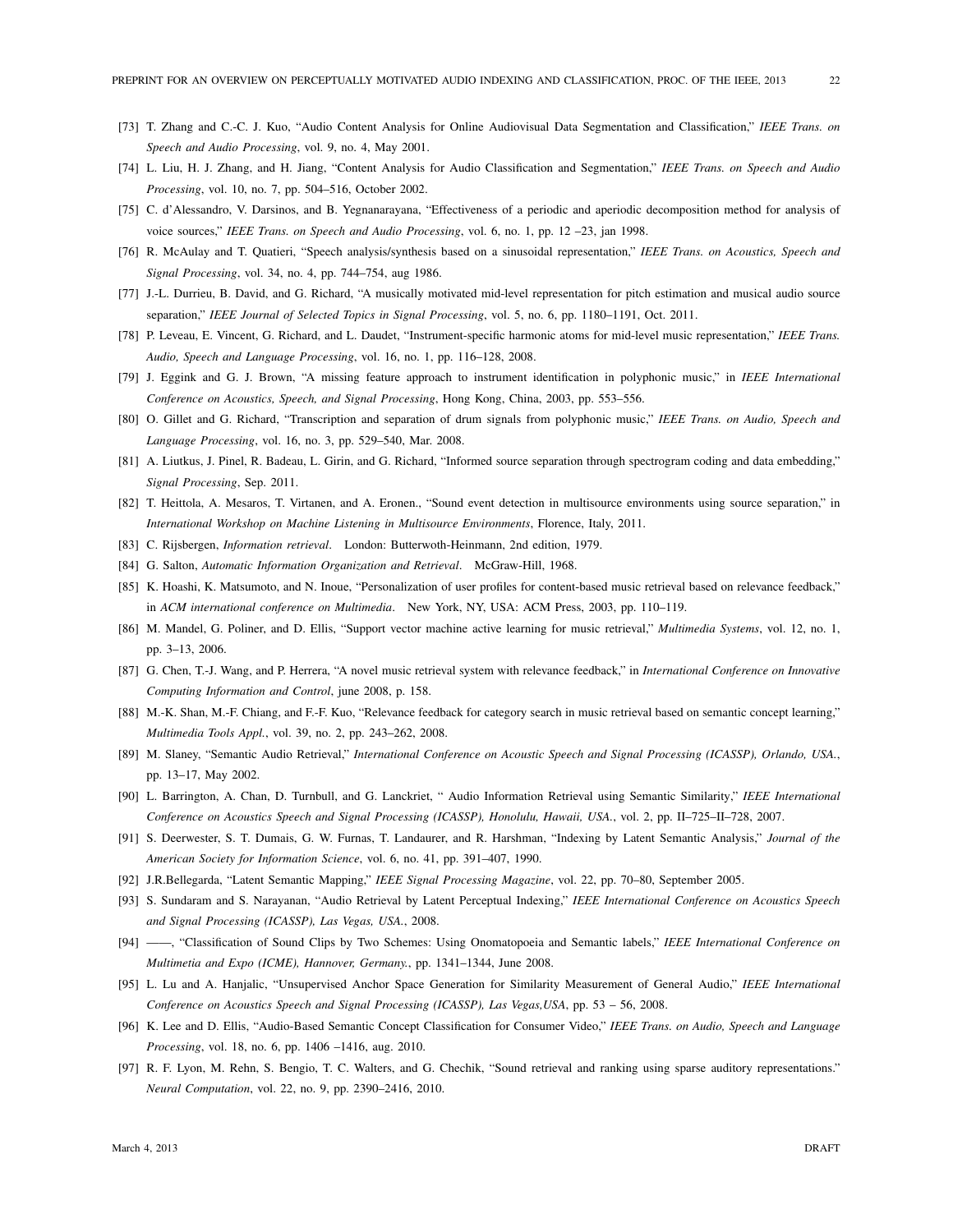- [73] T. Zhang and C.-C. J. Kuo, "Audio Content Analysis for Online Audiovisual Data Segmentation and Classification," *IEEE Trans. on Speech and Audio Processing*, vol. 9, no. 4, May 2001.
- [74] L. Liu, H. J. Zhang, and H. Jiang, "Content Analysis for Audio Classification and Segmentation," *IEEE Trans. on Speech and Audio Processing*, vol. 10, no. 7, pp. 504–516, October 2002.
- [75] C. d'Alessandro, V. Darsinos, and B. Yegnanarayana, "Effectiveness of a periodic and aperiodic decomposition method for analysis of voice sources," *IEEE Trans. on Speech and Audio Processing*, vol. 6, no. 1, pp. 12 –23, jan 1998.
- [76] R. McAulay and T. Quatieri, "Speech analysis/synthesis based on a sinusoidal representation," *IEEE Trans. on Acoustics, Speech and Signal Processing*, vol. 34, no. 4, pp. 744–754, aug 1986.
- [77] J.-L. Durrieu, B. David, and G. Richard, "A musically motivated mid-level representation for pitch estimation and musical audio source separation," *IEEE Journal of Selected Topics in Signal Processing*, vol. 5, no. 6, pp. 1180–1191, Oct. 2011.
- [78] P. Leveau, E. Vincent, G. Richard, and L. Daudet, "Instrument-specific harmonic atoms for mid-level music representation," *IEEE Trans. Audio, Speech and Language Processing*, vol. 16, no. 1, pp. 116–128, 2008.
- [79] J. Eggink and G. J. Brown, "A missing feature approach to instrument identification in polyphonic music," in *IEEE International Conference on Acoustics, Speech, and Signal Processing*, Hong Kong, China, 2003, pp. 553–556.
- [80] O. Gillet and G. Richard, "Transcription and separation of drum signals from polyphonic music," *IEEE Trans. on Audio, Speech and Language Processing*, vol. 16, no. 3, pp. 529–540, Mar. 2008.
- [81] A. Liutkus, J. Pinel, R. Badeau, L. Girin, and G. Richard, "Informed source separation through spectrogram coding and data embedding," *Signal Processing*, Sep. 2011.
- [82] T. Heittola, A. Mesaros, T. Virtanen, and A. Eronen., "Sound event detection in multisource environments using source separation," in *International Workshop on Machine Listening in Multisource Environments*, Florence, Italy, 2011.
- [83] C. Rijsbergen, *Information retrieval*. London: Butterwoth-Heinmann, 2nd edition, 1979.
- [84] G. Salton, *Automatic Information Organization and Retrieval*. McGraw-Hill, 1968.
- [85] K. Hoashi, K. Matsumoto, and N. Inoue, "Personalization of user profiles for content-based music retrieval based on relevance feedback," in *ACM international conference on Multimedia*. New York, NY, USA: ACM Press, 2003, pp. 110–119.
- [86] M. Mandel, G. Poliner, and D. Ellis, "Support vector machine active learning for music retrieval," *Multimedia Systems*, vol. 12, no. 1, pp. 3–13, 2006.
- [87] G. Chen, T.-J. Wang, and P. Herrera, "A novel music retrieval system with relevance feedback," in *International Conference on Innovative Computing Information and Control*, june 2008, p. 158.
- [88] M.-K. Shan, M.-F. Chiang, and F.-F. Kuo, "Relevance feedback for category search in music retrieval based on semantic concept learning," *Multimedia Tools Appl.*, vol. 39, no. 2, pp. 243–262, 2008.
- [89] M. Slaney, "Semantic Audio Retrieval," *International Conference on Acoustic Speech and Signal Processing (ICASSP), Orlando, USA.*, pp. 13–17, May 2002.
- [90] L. Barrington, A. Chan, D. Turnbull, and G. Lanckriet, " Audio Information Retrieval using Semantic Similarity," *IEEE International Conference on Acoustics Speech and Signal Processing (ICASSP), Honolulu, Hawaii, USA.*, vol. 2, pp. II–725–II–728, 2007.
- [91] S. Deerwester, S. T. Dumais, G. W. Furnas, T. Landaurer, and R. Harshman, "Indexing by Latent Semantic Analysis," *Journal of the American Society for Information Science*, vol. 6, no. 41, pp. 391–407, 1990.
- [92] J.R.Bellegarda, "Latent Semantic Mapping," *IEEE Signal Processing Magazine*, vol. 22, pp. 70–80, September 2005.
- [93] S. Sundaram and S. Narayanan, "Audio Retrieval by Latent Perceptual Indexing," *IEEE International Conference on Acoustics Speech and Signal Processing (ICASSP), Las Vegas, USA.*, 2008.
- [94] ——, "Classification of Sound Clips by Two Schemes: Using Onomatopoeia and Semantic labels," *IEEE International Conference on Multimetia and Expo (ICME), Hannover, Germany.*, pp. 1341–1344, June 2008.
- [95] L. Lu and A. Hanjalic, "Unsupervised Anchor Space Generation for Similarity Measurement of General Audio," *IEEE International Conference on Acoustics Speech and Signal Processing (ICASSP), Las Vegas,USA*, pp. 53 – 56, 2008.
- [96] K. Lee and D. Ellis, "Audio-Based Semantic Concept Classification for Consumer Video," *IEEE Trans. on Audio, Speech and Language Processing*, vol. 18, no. 6, pp. 1406 –1416, aug. 2010.
- [97] R. F. Lyon, M. Rehn, S. Bengio, T. C. Walters, and G. Chechik, "Sound retrieval and ranking using sparse auditory representations." *Neural Computation*, vol. 22, no. 9, pp. 2390–2416, 2010.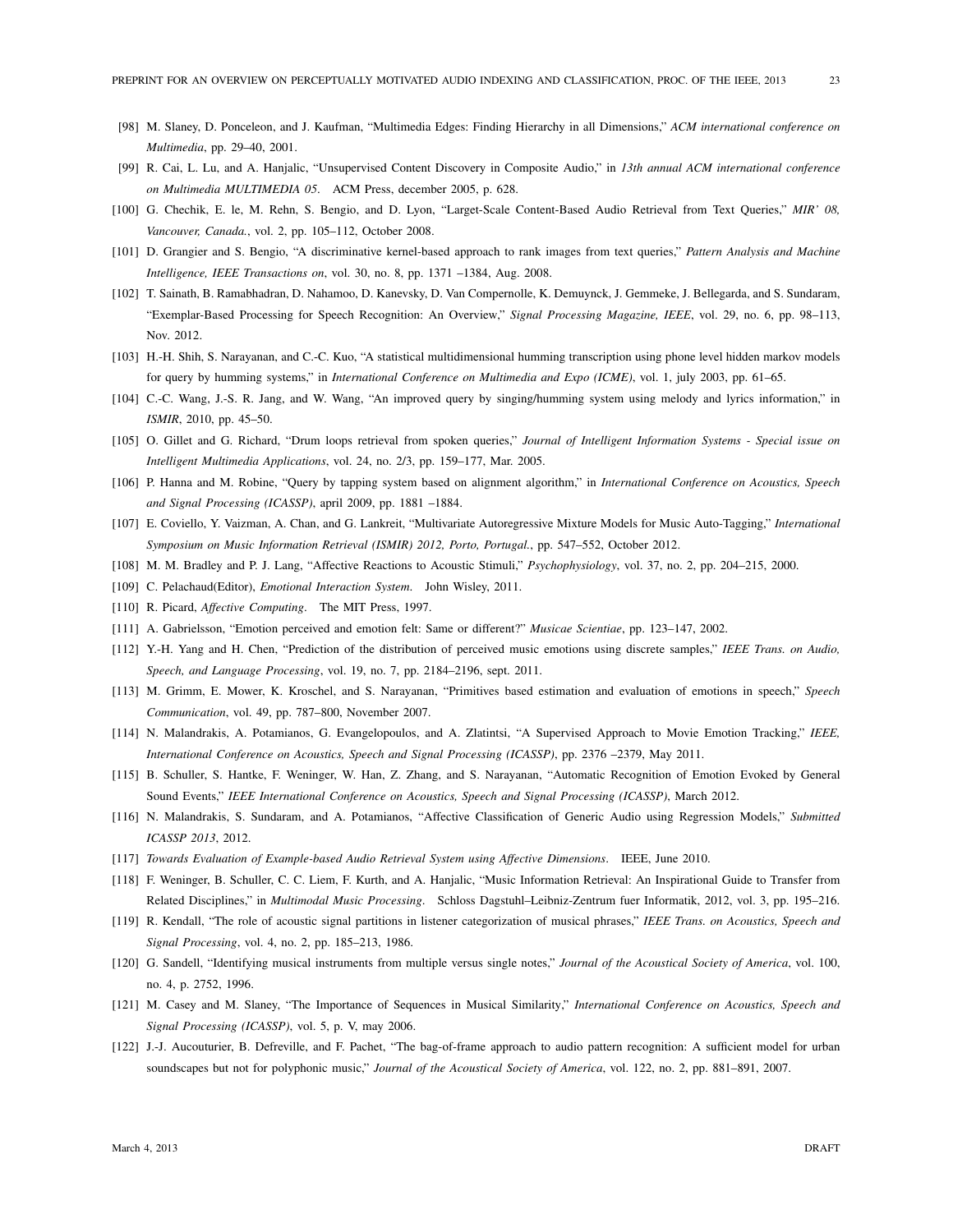- [98] M. Slaney, D. Ponceleon, and J. Kaufman, "Multimedia Edges: Finding Hierarchy in all Dimensions," *ACM international conference on Multimedia*, pp. 29–40, 2001.
- [99] R. Cai, L. Lu, and A. Hanjalic, "Unsupervised Content Discovery in Composite Audio," in *13th annual ACM international conference on Multimedia MULTIMEDIA 05*. ACM Press, december 2005, p. 628.
- [100] G. Chechik, E. le, M. Rehn, S. Bengio, and D. Lyon, "Larget-Scale Content-Based Audio Retrieval from Text Queries," *MIR' 08, Vancouver, Canada.*, vol. 2, pp. 105–112, October 2008.
- [101] D. Grangier and S. Bengio, "A discriminative kernel-based approach to rank images from text queries," *Pattern Analysis and Machine Intelligence, IEEE Transactions on*, vol. 30, no. 8, pp. 1371 –1384, Aug. 2008.
- [102] T. Sainath, B. Ramabhadran, D. Nahamoo, D. Kanevsky, D. Van Compernolle, K. Demuynck, J. Gemmeke, J. Bellegarda, and S. Sundaram, "Exemplar-Based Processing for Speech Recognition: An Overview," *Signal Processing Magazine, IEEE*, vol. 29, no. 6, pp. 98–113, Nov. 2012.
- [103] H.-H. Shih, S. Narayanan, and C.-C. Kuo, "A statistical multidimensional humming transcription using phone level hidden markov models for query by humming systems," in *International Conference on Multimedia and Expo (ICME)*, vol. 1, july 2003, pp. 61–65.
- [104] C.-C. Wang, J.-S. R. Jang, and W. Wang, "An improved query by singing/humming system using melody and lyrics information," in *ISMIR*, 2010, pp. 45–50.
- [105] O. Gillet and G. Richard, "Drum loops retrieval from spoken queries," *Journal of Intelligent Information Systems Special issue on Intelligent Multimedia Applications*, vol. 24, no. 2/3, pp. 159–177, Mar. 2005.
- [106] P. Hanna and M. Robine, "Query by tapping system based on alignment algorithm," in *International Conference on Acoustics, Speech and Signal Processing (ICASSP)*, april 2009, pp. 1881 –1884.
- [107] E. Coviello, Y. Vaizman, A. Chan, and G. Lankreit, "Multivariate Autoregressive Mixture Models for Music Auto-Tagging," *International Symposium on Music Information Retrieval (ISMIR) 2012, Porto, Portugal.*, pp. 547–552, October 2012.
- [108] M. M. Bradley and P. J. Lang, "Affective Reactions to Acoustic Stimuli," *Psychophysiology*, vol. 37, no. 2, pp. 204–215, 2000.
- [109] C. Pelachaud(Editor), *Emotional Interaction System*. John Wisley, 2011.
- [110] R. Picard, *Affective Computing*. The MIT Press, 1997.
- [111] A. Gabrielsson, "Emotion perceived and emotion felt: Same or different?" *Musicae Scientiae*, pp. 123–147, 2002.
- [112] Y.-H. Yang and H. Chen, "Prediction of the distribution of perceived music emotions using discrete samples," *IEEE Trans. on Audio, Speech, and Language Processing*, vol. 19, no. 7, pp. 2184–2196, sept. 2011.
- [113] M. Grimm, E. Mower, K. Kroschel, and S. Narayanan, "Primitives based estimation and evaluation of emotions in speech," *Speech Communication*, vol. 49, pp. 787–800, November 2007.
- [114] N. Malandrakis, A. Potamianos, G. Evangelopoulos, and A. Zlatintsi, "A Supervised Approach to Movie Emotion Tracking," *IEEE, International Conference on Acoustics, Speech and Signal Processing (ICASSP)*, pp. 2376 –2379, May 2011.
- [115] B. Schuller, S. Hantke, F. Weninger, W. Han, Z. Zhang, and S. Narayanan, "Automatic Recognition of Emotion Evoked by General Sound Events," *IEEE International Conference on Acoustics, Speech and Signal Processing (ICASSP)*, March 2012.
- [116] N. Malandrakis, S. Sundaram, and A. Potamianos, "Affective Classification of Generic Audio using Regression Models," *Submitted ICASSP 2013*, 2012.
- [117] *Towards Evaluation of Example-based Audio Retrieval System using Affective Dimensions*. IEEE, June 2010.
- [118] F. Weninger, B. Schuller, C. C. Liem, F. Kurth, and A. Hanjalic, "Music Information Retrieval: An Inspirational Guide to Transfer from Related Disciplines," in *Multimodal Music Processing*. Schloss Dagstuhl–Leibniz-Zentrum fuer Informatik, 2012, vol. 3, pp. 195–216.
- [119] R. Kendall, "The role of acoustic signal partitions in listener categorization of musical phrases," *IEEE Trans. on Acoustics, Speech and Signal Processing*, vol. 4, no. 2, pp. 185–213, 1986.
- [120] G. Sandell, "Identifying musical instruments from multiple versus single notes," *Journal of the Acoustical Society of America*, vol. 100, no. 4, p. 2752, 1996.
- [121] M. Casey and M. Slaney, "The Importance of Sequences in Musical Similarity," *International Conference on Acoustics, Speech and Signal Processing (ICASSP)*, vol. 5, p. V, may 2006.
- [122] J.-J. Aucouturier, B. Defreville, and F. Pachet, "The bag-of-frame approach to audio pattern recognition: A sufficient model for urban soundscapes but not for polyphonic music," *Journal of the Acoustical Society of America*, vol. 122, no. 2, pp. 881–891, 2007.